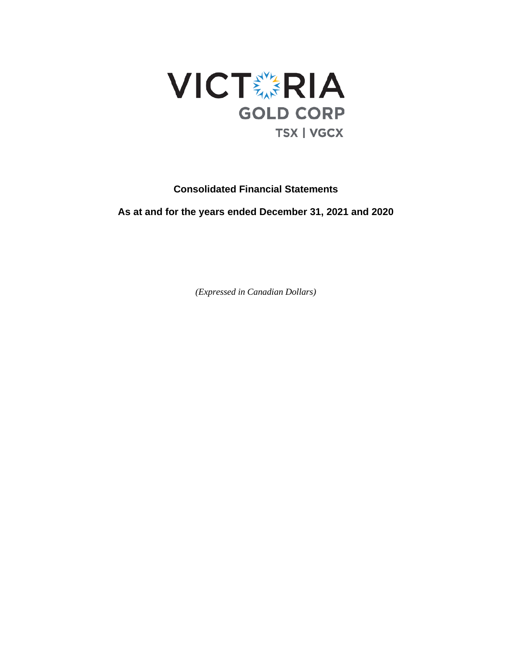

# **Consolidated Financial Statements**

**As at and for the years ended December 31, 2021 and 2020**

*(Expressed in Canadian Dollars)*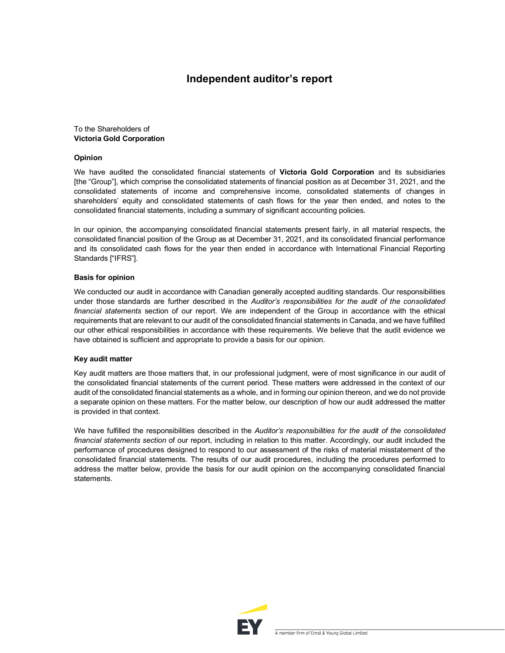# Independent auditor's report

To the Shareholders of Victoria Gold Corporation

#### Opinion

We have audited the consolidated financial statements of Victoria Gold Corporation and its subsidiaries [the "Group"], which comprise the consolidated statements of financial position as at December 31, 2021, and the consolidated statements of income and comprehensive income, consolidated statements of changes in shareholders' equity and consolidated statements of cash flows for the year then ended, and notes to the consolidated financial statements, including a summary of significant accounting policies.

In our opinion, the accompanying consolidated financial statements present fairly, in all material respects, the consolidated financial position of the Group as at December 31, 2021, and its consolidated financial performance and its consolidated cash flows for the year then ended in accordance with International Financial Reporting Standards ["IFRS"].

#### Basis for opinion

We conducted our audit in accordance with Canadian generally accepted auditing standards. Our responsibilities under those standards are further described in the Auditor's responsibilities for the audit of the consolidated financial statements section of our report. We are independent of the Group in accordance with the ethical requirements that are relevant to our audit of the consolidated financial statements in Canada, and we have fulfilled our other ethical responsibilities in accordance with these requirements. We believe that the audit evidence we have obtained is sufficient and appropriate to provide a basis for our opinion.

#### Key audit matter

Key audit matters are those matters that, in our professional judgment, were of most significance in our audit of the consolidated financial statements of the current period. These matters were addressed in the context of our audit of the consolidated financial statements as a whole, and in forming our opinion thereon, and we do not provide a separate opinion on these matters. For the matter below, our description of how our audit addressed the matter is provided in that context.

We have fulfilled the responsibilities described in the Auditor's responsibilities for the audit of the consolidated financial statements section of our report, including in relation to this matter. Accordingly, our audit included the performance of procedures designed to respond to our assessment of the risks of material misstatement of the consolidated financial statements. The results of our audit procedures, including the procedures performed to address the matter below, provide the basis for our audit opinion on the accompanying consolidated financial statements.

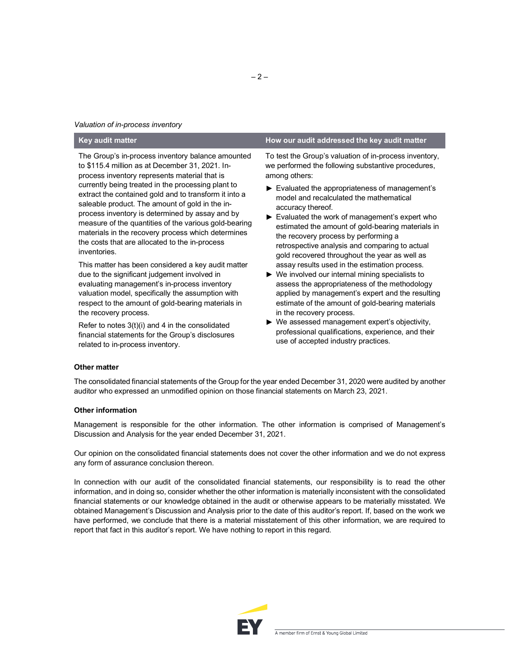#### Valuation of in-process inventory

#### Key audit matter How our audit addressed the key audit matter The Group's in-process inventory balance amounted to \$115.4 million as at December 31, 2021. Inprocess inventory represents material that is currently being treated in the processing plant to extract the contained gold and to transform it into a saleable product. The amount of gold in the inprocess inventory is determined by assay and by measure of the quantities of the various gold-bearing materials in the recovery process which determines the costs that are allocated to the in-process inventories. This matter has been considered a key audit matter due to the significant judgement involved in evaluating management's in-process inventory valuation model, specifically the assumption with respect to the amount of gold-bearing materials in To test the Group's valuation of in-process inventory, we performed the following substantive procedures, among others: Evaluated the appropriateness of management's model and recalculated the mathematical accuracy thereof. Evaluated the work of management's expert who estimated the amount of gold-bearing materials in the recovery process by performing a retrospective analysis and comparing to actual gold recovered throughout the year as well as assay results used in the estimation process.  $\triangleright$  We involved our internal mining specialists to assess the appropriateness of the methodology applied by management's expert and the resulting estimate of the amount of gold-bearing materials

Refer to notes 3(t)(i) and 4 in the consolidated financial statements for the Group's disclosures related to in-process inventory.

 $\blacktriangleright$  We assessed management expert's objectivity, professional qualifications, experience, and their use of accepted industry practices.

in the recovery process.

#### Other matter

the recovery process.

The consolidated financial statements of the Group for the year ended December 31, 2020 were audited by another auditor who expressed an unmodified opinion on those financial statements on March 23, 2021.

#### Other information

Management is responsible for the other information. The other information is comprised of Management's Discussion and Analysis for the year ended December 31, 2021.

Our opinion on the consolidated financial statements does not cover the other information and we do not express any form of assurance conclusion thereon.

In connection with our audit of the consolidated financial statements, our responsibility is to read the other information, and in doing so, consider whether the other information is materially inconsistent with the consolidated financial statements or our knowledge obtained in the audit or otherwise appears to be materially misstated. We obtained Management's Discussion and Analysis prior to the date of this auditor's report. If, based on the work we have performed, we conclude that there is a material misstatement of this other information, we are required to report that fact in this auditor's report. We have nothing to report in this regard.

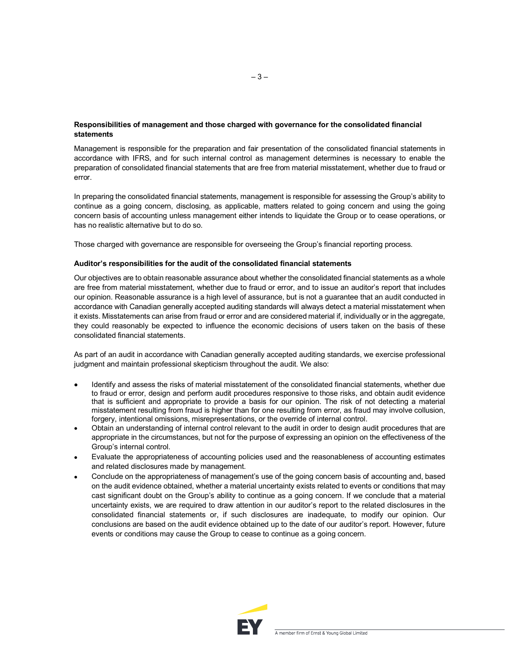### Responsibilities of management and those charged with governance for the consolidated financial statements

Management is responsible for the preparation and fair presentation of the consolidated financial statements in accordance with IFRS, and for such internal control as management determines is necessary to enable the preparation of consolidated financial statements that are free from material misstatement, whether due to fraud or error.

In preparing the consolidated financial statements, management is responsible for assessing the Group's ability to continue as a going concern, disclosing, as applicable, matters related to going concern and using the going concern basis of accounting unless management either intends to liquidate the Group or to cease operations, or has no realistic alternative but to do so.

Those charged with governance are responsible for overseeing the Group's financial reporting process.

#### Auditor's responsibilities for the audit of the consolidated financial statements

Our objectives are to obtain reasonable assurance about whether the consolidated financial statements as a whole are free from material misstatement, whether due to fraud or error, and to issue an auditor's report that includes our opinion. Reasonable assurance is a high level of assurance, but is not a guarantee that an audit conducted in accordance with Canadian generally accepted auditing standards will always detect a material misstatement when it exists. Misstatements can arise from fraud or error and are considered material if, individually or in the aggregate, they could reasonably be expected to influence the economic decisions of users taken on the basis of these consolidated financial statements.

As part of an audit in accordance with Canadian generally accepted auditing standards, we exercise professional judgment and maintain professional skepticism throughout the audit. We also:

- Identify and assess the risks of material misstatement of the consolidated financial statements, whether due to fraud or error, design and perform audit procedures responsive to those risks, and obtain audit evidence that is sufficient and appropriate to provide a basis for our opinion. The risk of not detecting a material misstatement resulting from fraud is higher than for one resulting from error, as fraud may involve collusion, forgery, intentional omissions, misrepresentations, or the override of internal control.
- Obtain an understanding of internal control relevant to the audit in order to design audit procedures that are appropriate in the circumstances, but not for the purpose of expressing an opinion on the effectiveness of the Group's internal control.
- Evaluate the appropriateness of accounting policies used and the reasonableness of accounting estimates and related disclosures made by management.
- Conclude on the appropriateness of management's use of the going concern basis of accounting and, based on the audit evidence obtained, whether a material uncertainty exists related to events or conditions that may cast significant doubt on the Group's ability to continue as a going concern. If we conclude that a material uncertainty exists, we are required to draw attention in our auditor's report to the related disclosures in the consolidated financial statements or, if such disclosures are inadequate, to modify our opinion. Our conclusions are based on the audit evidence obtained up to the date of our auditor's report. However, future events or conditions may cause the Group to cease to continue as a going concern.

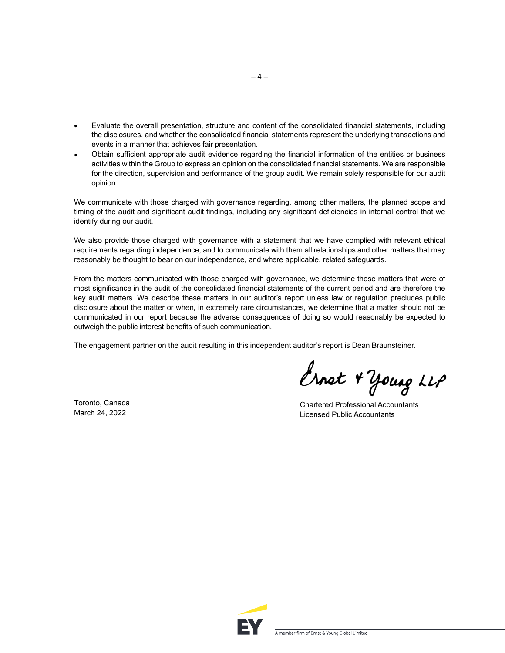- 4  $\bullet$ Evaluate the overall presentation, structure and content of the consolidated financial statements, including the disclosures, and whether the consolidated financial statements represent the underlying transactions and events in a manner that achieves fair presentation.
- Obtain sufficient appropriate audit evidence regarding the financial information of the entities or business activities within the Group to express an opinion on the consolidated financial statements. We are responsible for the direction, supervision and performance of the group audit. We remain solely responsible for our audit opinion.

We communicate with those charged with governance regarding, among other matters, the planned scope and timing of the audit and significant audit findings, including any significant deficiencies in internal control that we identify during our audit.

We also provide those charged with governance with a statement that we have complied with relevant ethical requirements regarding independence, and to communicate with them all relationships and other matters that may reasonably be thought to bear on our independence, and where applicable, related safeguards.

From the matters communicated with those charged with governance, we determine those matters that were of most significance in the audit of the consolidated financial statements of the current period and are therefore the key audit matters. We describe these matters in our auditor's report unless law or regulation precludes public disclosure about the matter or when, in extremely rare circumstances, we determine that a matter should not be communicated in our report because the adverse consequences of doing so would reasonably be expected to outweigh the public interest benefits of such communication.

The engagement partner on the audit resulting in this independent auditor's report is Dean Braunsteiner.

Toronto, Canada March 24, 2022

Ernst + Young LLP

**Chartered Professional Accountants Licensed Public Accountants** 

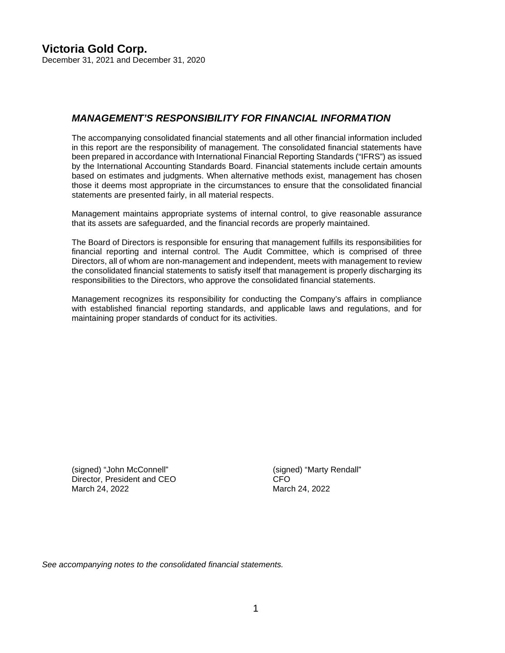# *MANAGEMENT'S RESPONSIBILITY FOR FINANCIAL INFORMATION*

The accompanying consolidated financial statements and all other financial information included in this report are the responsibility of management. The consolidated financial statements have been prepared in accordance with International Financial Reporting Standards ("IFRS") as issued by the International Accounting Standards Board. Financial statements include certain amounts based on estimates and judgments. When alternative methods exist, management has chosen those it deems most appropriate in the circumstances to ensure that the consolidated financial statements are presented fairly, in all material respects.

Management maintains appropriate systems of internal control, to give reasonable assurance that its assets are safeguarded, and the financial records are properly maintained.

The Board of Directors is responsible for ensuring that management fulfills its responsibilities for financial reporting and internal control. The Audit Committee, which is comprised of three Directors, all of whom are non-management and independent, meets with management to review the consolidated financial statements to satisfy itself that management is properly discharging its responsibilities to the Directors, who approve the consolidated financial statements.

Management recognizes its responsibility for conducting the Company's affairs in compliance with established financial reporting standards, and applicable laws and regulations, and for maintaining proper standards of conduct for its activities.

(signed) "John McConnell" (signed) "Marty Rendall" Director, President and CEO CFO March 24, 2022 March 24, 2022

*See accompanying notes to the consolidated financial statements.*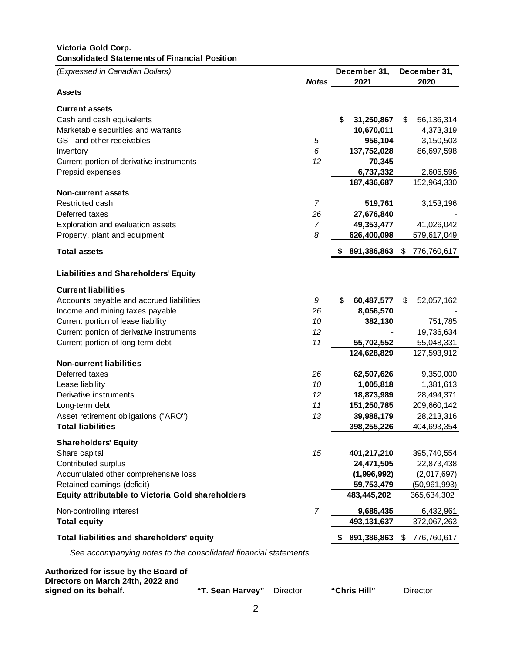# **Victoria Gold Corp. Consolidated Statements of Financial Position**

| (Expressed in Canadian Dollars)                                           |                  |                |    | December 31, | December 31, |                 |  |  |
|---------------------------------------------------------------------------|------------------|----------------|----|--------------|--------------|-----------------|--|--|
|                                                                           |                  | <b>Notes</b>   |    | 2021         |              | 2020            |  |  |
| <b>Assets</b>                                                             |                  |                |    |              |              |                 |  |  |
| <b>Current assets</b>                                                     |                  |                |    |              |              |                 |  |  |
| Cash and cash equivalents                                                 |                  |                | \$ | 31,250,867   | \$           | 56,136,314      |  |  |
| Marketable securities and warrants                                        |                  |                |    | 10,670,011   |              | 4,373,319       |  |  |
| GST and other receivables                                                 |                  | 5              |    | 956,104      |              | 3,150,503       |  |  |
| Inventory                                                                 |                  | 6              |    | 137,752,028  |              | 86,697,598      |  |  |
| Current portion of derivative instruments                                 |                  | 12             |    | 70,345       |              |                 |  |  |
| Prepaid expenses                                                          |                  |                |    | 6,737,332    |              | 2,606,596       |  |  |
|                                                                           |                  |                |    | 187,436,687  |              | 152,964,330     |  |  |
| <b>Non-current assets</b>                                                 |                  |                |    |              |              |                 |  |  |
| Restricted cash                                                           |                  | $\overline{7}$ |    | 519,761      |              | 3, 153, 196     |  |  |
| Deferred taxes                                                            |                  | 26             |    | 27,676,840   |              |                 |  |  |
| Exploration and evaluation assets                                         |                  | 7              |    | 49,353,477   |              | 41,026,042      |  |  |
| Property, plant and equipment                                             |                  | 8              |    | 626,400,098  |              | 579,617,049     |  |  |
|                                                                           |                  |                |    |              |              |                 |  |  |
| <b>Total assets</b>                                                       |                  |                | S. | 891,386,863  | - \$         | 776,760,617     |  |  |
| <b>Liabilities and Shareholders' Equity</b>                               |                  |                |    |              |              |                 |  |  |
| <b>Current liabilities</b>                                                |                  |                |    |              |              |                 |  |  |
| Accounts payable and accrued liabilities                                  |                  | 9              | S  | 60,487,577   | \$           | 52,057,162      |  |  |
| Income and mining taxes payable                                           |                  | 26             |    | 8,056,570    |              |                 |  |  |
| Current portion of lease liability                                        |                  | 10             |    | 382,130      |              | 751,785         |  |  |
| Current portion of derivative instruments                                 |                  | 12             |    |              |              | 19,736,634      |  |  |
| Current portion of long-term debt                                         |                  | 11             |    | 55,702,552   |              | 55,048,331      |  |  |
|                                                                           |                  |                |    | 124,628,829  |              | 127,593,912     |  |  |
| <b>Non-current liabilities</b>                                            |                  |                |    |              |              |                 |  |  |
| Deferred taxes                                                            |                  | 26             |    | 62,507,626   |              | 9,350,000       |  |  |
| Lease liability                                                           |                  | 10             |    | 1,005,818    |              | 1,381,613       |  |  |
| Derivative instruments                                                    |                  | 12             |    | 18,873,989   |              | 28,494,371      |  |  |
| Long-term debt                                                            |                  | 11             |    | 151,250,785  |              | 209,660,142     |  |  |
| Asset retirement obligations ("ARO")                                      |                  | 13             |    | 39,988,179   |              | 28,213,316      |  |  |
| <b>Total liabilities</b>                                                  |                  |                |    | 398,255,226  |              | 404,693,354     |  |  |
| <b>Shareholders' Equity</b>                                               |                  |                |    |              |              |                 |  |  |
| Share capital                                                             |                  | 15             |    | 401,217,210  |              | 395,740,554     |  |  |
| Contributed surplus                                                       |                  |                |    | 24,471,505   |              | 22,873,438      |  |  |
| Accumulated other comprehensive loss                                      |                  |                |    | (1,996,992)  |              | (2,017,697)     |  |  |
| Retained earnings (deficit)                                               |                  |                |    | 59,753,479   |              | (50, 961, 993)  |  |  |
| <b>Equity attributable to Victoria Gold shareholders</b>                  |                  |                |    | 483,445,202  |              | 365,634,302     |  |  |
|                                                                           |                  |                |    |              |              |                 |  |  |
| Non-controlling interest                                                  |                  | $\overline{7}$ |    | 9,686,435    |              | 6,432,961       |  |  |
| <b>Total equity</b>                                                       |                  |                |    | 493,131,637  |              | 372,067,263     |  |  |
| Total liabilities and shareholders' equity                                |                  |                |    | 891,386,863  | S.           | 776,760,617     |  |  |
| See accompanying notes to the consolidated financial statements.          |                  |                |    |              |              |                 |  |  |
| Authorized for issue by the Board of<br>Directors on March 24th, 2022 and |                  |                |    |              |              |                 |  |  |
| signed on its behalf.                                                     | "T. Sean Harvey" | Director       |    | "Chris Hill" |              | <b>Director</b> |  |  |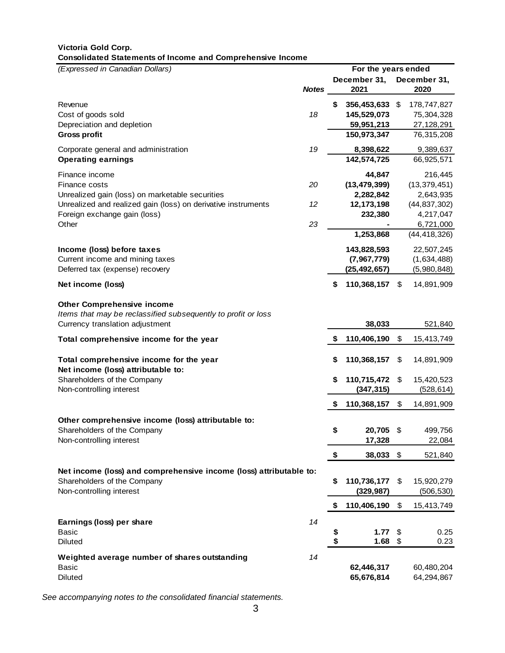### **Victoria Gold Corp. Consolidated Statements of Income and Comprehensive Income**

| (Expressed in Canadian Dollars)                                    |              | For the years ended |                |    |                |  |  |
|--------------------------------------------------------------------|--------------|---------------------|----------------|----|----------------|--|--|
|                                                                    |              |                     | December 31,   |    | December 31,   |  |  |
|                                                                    | <b>Notes</b> |                     | 2021           |    | 2020           |  |  |
| Revenue                                                            |              |                     | 356,453,633    | \$ | 178,747,827    |  |  |
| Cost of goods sold                                                 | 18           |                     | 145,529,073    |    | 75,304,328     |  |  |
| Depreciation and depletion                                         |              |                     | 59,951,213     |    | 27,128,291     |  |  |
| <b>Gross profit</b>                                                |              |                     | 150,973,347    |    | 76,315,208     |  |  |
|                                                                    |              |                     |                |    |                |  |  |
| Corporate general and administration                               | 19           |                     | 8,398,622      |    | 9,389,637      |  |  |
| <b>Operating earnings</b>                                          |              |                     | 142,574,725    |    | 66,925,571     |  |  |
| Finance income                                                     |              |                     | 44,847         |    | 216,445        |  |  |
| Finance costs                                                      | 20           |                     | (13, 479, 399) |    | (13, 379, 451) |  |  |
| Unrealized gain (loss) on marketable securities                    |              |                     | 2,282,842      |    | 2,643,935      |  |  |
| Unrealized and realized gain (loss) on derivative instruments      | 12           |                     | 12,173,198     |    | (44, 837, 302) |  |  |
| Foreign exchange gain (loss)                                       |              |                     | 232,380        |    | 4,217,047      |  |  |
| Other                                                              | 23           |                     |                |    | 6,721,000      |  |  |
|                                                                    |              |                     | 1,253,868      |    | (44, 418, 326) |  |  |
|                                                                    |              |                     |                |    |                |  |  |
| Income (loss) before taxes                                         |              |                     | 143,828,593    |    | 22,507,245     |  |  |
| Current income and mining taxes                                    |              |                     | (7,967,779)    |    | (1,634,488)    |  |  |
| Deferred tax (expense) recovery                                    |              |                     | (25, 492, 657) |    | (5,980,848)    |  |  |
| Net income (loss)                                                  |              | S                   | 110,368,157    | \$ | 14,891,909     |  |  |
|                                                                    |              |                     |                |    |                |  |  |
| <b>Other Comprehensive income</b>                                  |              |                     |                |    |                |  |  |
| Items that may be reclassified subsequently to profit or loss      |              |                     |                |    |                |  |  |
| Currency translation adjustment                                    |              |                     | 38,033         |    | 521,840        |  |  |
|                                                                    |              | \$                  | 110,406,190    | \$ |                |  |  |
| Total comprehensive income for the year                            |              |                     |                |    | 15,413,749     |  |  |
|                                                                    |              |                     |                |    |                |  |  |
| Total comprehensive income for the year                            |              | \$                  | 110,368,157    | \$ | 14,891,909     |  |  |
| Net income (loss) attributable to:                                 |              |                     |                |    |                |  |  |
| Shareholders of the Company                                        |              | \$                  | 110,715,472    | \$ | 15,420,523     |  |  |
| Non-controlling interest                                           |              |                     | (347, 315)     |    | (528, 614)     |  |  |
|                                                                    |              | \$                  | 110,368,157    | \$ | 14,891,909     |  |  |
|                                                                    |              |                     |                |    |                |  |  |
| Other comprehensive income (loss) attributable to:                 |              |                     |                |    |                |  |  |
| Shareholders of the Company                                        |              | \$                  | 20,705         | \$ | 499,756        |  |  |
| Non-controlling interest                                           |              |                     | 17,328         |    | 22,084         |  |  |
|                                                                    |              | \$                  | 38,033 \$      |    | 521,840        |  |  |
|                                                                    |              |                     |                |    |                |  |  |
| Net income (loss) and comprehensive income (loss) attributable to: |              |                     |                |    |                |  |  |
| Shareholders of the Company                                        |              | \$                  | 110,736,177    | \$ | 15,920,279     |  |  |
| Non-controlling interest                                           |              |                     | (329, 987)     |    | (506, 530)     |  |  |
|                                                                    |              | \$                  | 110,406,190    | \$ | 15,413,749     |  |  |
|                                                                    |              |                     |                |    |                |  |  |
| Earnings (loss) per share                                          | 14           |                     |                |    |                |  |  |
| Basic                                                              |              | \$                  | 1.77           | \$ | 0.25           |  |  |
| <b>Diluted</b>                                                     |              | \$                  | $1.68$ \$      |    | 0.23           |  |  |
| Weighted average number of shares outstanding                      | 14           |                     |                |    |                |  |  |
| <b>Basic</b>                                                       |              |                     | 62,446,317     |    | 60,480,204     |  |  |
| <b>Diluted</b>                                                     |              |                     | 65,676,814     |    | 64,294,867     |  |  |
|                                                                    |              |                     |                |    |                |  |  |

*See accompanying notes to the consolidated financial statements.*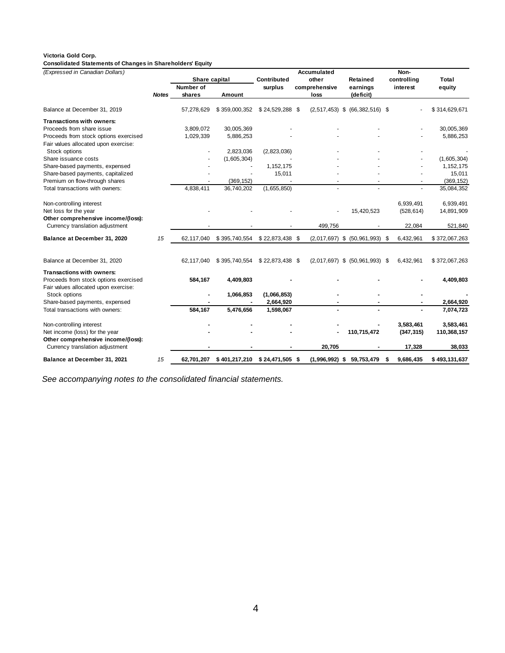#### **Victoria Gold Corp. Consolidated Statements of Changes in Shareholders' Equity**

| (Expressed in Canadian Dollars)                                               | Accumulated  |               |                               | Non-             |                   |  |                                    |                          |               |
|-------------------------------------------------------------------------------|--------------|---------------|-------------------------------|------------------|-------------------|--|------------------------------------|--------------------------|---------------|
|                                                                               |              | Share capital |                               | Contributed      | other<br>Retained |  |                                    | controlling              | Total         |
|                                                                               |              | Number of     |                               | surplus          | comprehensive     |  | earnings                           | interest                 | equity        |
|                                                                               | <b>Notes</b> | shares        | Amount                        |                  | loss              |  | (deficit)                          |                          |               |
| Balance at December 31, 2019                                                  |              | 57,278,629    | \$359,000,352                 | $$24,529,288$ \$ |                   |  | $(2,517,453)$ \$ $(66,382,516)$ \$ |                          | \$314,629,671 |
| <b>Transactions with owners:</b>                                              |              |               |                               |                  |                   |  |                                    |                          |               |
| Proceeds from share issue                                                     |              | 3,809,072     | 30,005,369                    |                  |                   |  |                                    |                          | 30,005,369    |
| Proceeds from stock options exercised                                         |              | 1,029,339     | 5,886,253                     |                  |                   |  |                                    |                          | 5,886,253     |
| Fair values allocated upon exercise:                                          |              |               |                               |                  |                   |  |                                    |                          |               |
| Stock options                                                                 |              |               | 2,823,036                     | (2,823,036)      |                   |  |                                    |                          |               |
| Share issuance costs                                                          |              |               | (1,605,304)                   |                  |                   |  |                                    |                          | (1,605,304)   |
| Share-based payments, expensed                                                |              |               |                               | 1,152,175        |                   |  |                                    |                          | 1,152,175     |
| Share-based payments, capitalized                                             |              |               |                               | 15,011           |                   |  |                                    |                          | 15,011        |
| Premium on flow-through shares                                                |              |               | (369, 152)                    |                  |                   |  |                                    | $\overline{\phantom{a}}$ | (369, 152)    |
| Total transactions with owners:                                               |              | 4,838,411     | 36,740,202                    | (1,655,850)      |                   |  |                                    |                          | 35,084,352    |
| Non-controlling interest                                                      |              |               |                               |                  |                   |  |                                    | 6,939,491                | 6,939,491     |
| Net loss for the year                                                         |              |               |                               |                  |                   |  | 15,420,523                         | (528, 614)               | 14,891,909    |
| Other comprehensive income/(loss):                                            |              |               |                               |                  |                   |  |                                    |                          |               |
| Currency translation adjustment                                               |              |               |                               |                  | 499,756           |  |                                    | 22,084                   | 521,840       |
| Balance at December 31, 2020                                                  | 15           | 62.117.040    | \$395,740,554                 | $$22,873,438$ \; |                   |  | $(2,017,697)$ \$ $(50,961,993)$ \$ | 6,432,961                | \$372,067,263 |
| Balance at December 31, 2020                                                  |              | 62,117,040    | \$395,740,554                 | $$22,873,438$ \; |                   |  | $(2,017,697)$ \$ $(50,961,993)$ \$ | 6,432,961                | \$372,067,263 |
| <b>Transactions with owners:</b>                                              |              |               |                               |                  |                   |  |                                    |                          |               |
| Proceeds from stock options exercised<br>Fair values allocated upon exercise: |              | 584,167       | 4,409,803                     |                  |                   |  |                                    |                          | 4,409,803     |
| Stock options                                                                 |              |               | 1,066,853                     | (1,066,853)      |                   |  |                                    |                          |               |
| Share-based payments, expensed                                                |              |               |                               | 2,664,920        |                   |  |                                    |                          | 2,664,920     |
| Total transactions with owners:                                               |              | 584,167       | 5,476,656                     | 1,598,067        |                   |  |                                    |                          | 7,074,723     |
| Non-controlling interest                                                      |              |               |                               |                  |                   |  |                                    | 3,583,461                | 3,583,461     |
| Net income (loss) for the year                                                |              |               |                               |                  |                   |  | 110,715,472                        | (347, 315)               | 110,368,157   |
| Other comprehensive income/(loss):                                            |              |               |                               |                  |                   |  |                                    |                          |               |
| Currency translation adjustment                                               |              |               |                               |                  | 20,705            |  |                                    | 17,328                   | 38,033        |
| Balance at December 31, 2021                                                  | 15           | 62,701,207    | \$401,217,210 \$24,471,505 \$ |                  | $(1,996,992)$ \$  |  | 59,753,479                         | \$<br>9,686,435          | \$493,131,637 |
|                                                                               |              |               |                               |                  |                   |  |                                    |                          |               |

*See accompanying notes to the consolidated financial statements.*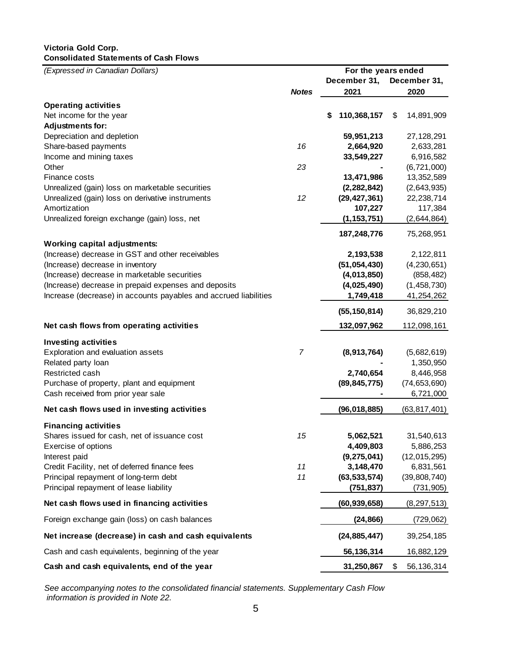### **Victoria Gold Corp. Consolidated Statements of Cash Flows**

| (Expressed in Canadian Dollars)                                  |              | For the years ended |                  |
|------------------------------------------------------------------|--------------|---------------------|------------------|
|                                                                  |              | December 31,        | December 31,     |
|                                                                  | <b>Notes</b> | 2021                | 2020             |
| <b>Operating activities</b>                                      |              |                     |                  |
| Net income for the year                                          |              | 110,368,157<br>\$   | 14,891,909<br>S  |
| <b>Adjustments for:</b>                                          |              |                     |                  |
| Depreciation and depletion                                       |              | 59,951,213          | 27,128,291       |
| Share-based payments                                             | 16           | 2,664,920           | 2,633,281        |
| Income and mining taxes                                          |              | 33,549,227          | 6,916,582        |
| Other                                                            | 23           |                     | (6,721,000)      |
| Finance costs                                                    |              | 13,471,986          | 13,352,589       |
| Unrealized (gain) loss on marketable securities                  |              | (2, 282, 842)       | (2,643,935)      |
| Unrealized (gain) loss on derivative instruments                 | 12           | (29, 427, 361)      | 22,238,714       |
| Amortization                                                     |              | 107,227             | 117,384          |
| Unrealized foreign exchange (gain) loss, net                     |              | (1, 153, 751)       | (2,644,864)      |
|                                                                  |              | 187,248,776         | 75,268,951       |
| <b>Working capital adjustments:</b>                              |              |                     |                  |
| (Increase) decrease in GST and other receivables                 |              | 2,193,538           | 2,122,811        |
| (Increase) decrease in inventory                                 |              | (51, 054, 430)      | (4, 230, 651)    |
| (Increase) decrease in marketable securities                     |              | (4,013,850)         | (858, 482)       |
| (Increase) decrease in prepaid expenses and deposits             |              | (4,025,490)         | (1,458,730)      |
| Increase (decrease) in accounts payables and accrued liabilities |              | 1,749,418           | 41,254,262       |
|                                                                  |              | (55, 150, 814)      | 36,829,210       |
| Net cash flows from operating activities                         |              | 132,097,962         | 112,098,161      |
| <b>Investing activities</b>                                      |              |                     |                  |
| Exploration and evaluation assets                                | 7            | (8,913,764)         | (5,682,619)      |
| Related party loan                                               |              |                     | 1,350,950        |
| Restricted cash                                                  |              | 2,740,654           | 8,446,958        |
| Purchase of property, plant and equipment                        |              | (89, 845, 775)      | (74, 653, 690)   |
| Cash received from prior year sale                               |              |                     | 6,721,000        |
| Net cash flows used in investing activities                      |              | (96,018,885)        | (63, 817, 401)   |
| <b>Financing activities</b>                                      |              |                     |                  |
| Shares issued for cash, net of issuance cost                     | 15           | 5,062,521           | 31,540,613       |
| Exercise of options                                              |              | 4,409,803           | 5,886,253        |
| Interest paid                                                    |              | (9, 275, 041)       | (12,015,295)     |
| Credit Facility, net of deferred finance fees                    | 11           | 3,148,470           | 6,831,561        |
| Principal repayment of long-term debt                            | 11           | (63, 533, 574)      | (39, 808, 740)   |
| Principal repayment of lease liability                           |              | (751, 837)          | (731, 905)       |
| Net cash flows used in financing activities                      |              | (60, 939, 658)      | (8, 297, 513)    |
| Foreign exchange gain (loss) on cash balances                    |              | (24, 866)           | (729,062)        |
| Net increase (decrease) in cash and cash equivalents             |              | (24, 885, 447)      | 39,254,185       |
| Cash and cash equivalents, beginning of the year                 |              | 56,136,314          | 16,882,129       |
| Cash and cash equivalents, end of the year                       |              | 31,250,867          | 56,136,314<br>\$ |

*See accompanying notes to the consolidated financial statements. Supplementary Cash Flow information is provided in Note 22.*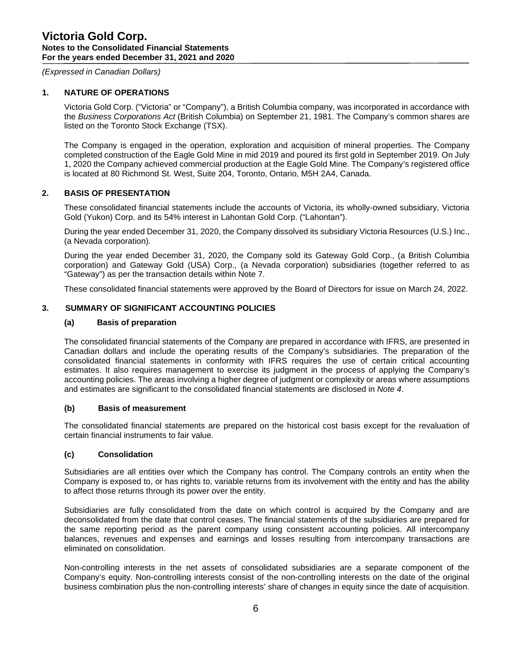### **1. NATURE OF OPERATIONS**

Victoria Gold Corp. ("Victoria" or "Company"), a British Columbia company, was incorporated in accordance with the *Business Corporations Act* (British Columbia) on September 21, 1981. The Company's common shares are listed on the Toronto Stock Exchange (TSX).

The Company is engaged in the operation, exploration and acquisition of mineral properties. The Company completed construction of the Eagle Gold Mine in mid 2019 and poured its first gold in September 2019. On July 1, 2020 the Company achieved commercial production at the Eagle Gold Mine. The Company's registered office is located at 80 Richmond St. West, Suite 204, Toronto, Ontario, M5H 2A4, Canada.

### **2. BASIS OF PRESENTATION**

These consolidated financial statements include the accounts of Victoria, its wholly-owned subsidiary, Victoria Gold (Yukon) Corp. and its 54% interest in Lahontan Gold Corp. ("Lahontan").

During the year ended December 31, 2020, the Company dissolved its subsidiary Victoria Resources (U.S.) Inc., (a Nevada corporation).

During the year ended December 31, 2020, the Company sold its Gateway Gold Corp., (a British Columbia corporation) and Gateway Gold (USA) Corp., (a Nevada corporation) subsidiaries (together referred to as "Gateway") as per the transaction details within Note 7.

These consolidated financial statements were approved by the Board of Directors for issue on March 24, 2022.

### **3. SUMMARY OF SIGNIFICANT ACCOUNTING POLICIES**

### **(a) Basis of preparation**

The consolidated financial statements of the Company are prepared in accordance with IFRS, are presented in Canadian dollars and include the operating results of the Company's subsidiaries. The preparation of the consolidated financial statements in conformity with IFRS requires the use of certain critical accounting estimates. It also requires management to exercise its judgment in the process of applying the Company's accounting policies. The areas involving a higher degree of judgment or complexity or areas where assumptions and estimates are significant to the consolidated financial statements are disclosed in *Note 4*.

### **(b) Basis of measurement**

The consolidated financial statements are prepared on the historical cost basis except for the revaluation of certain financial instruments to fair value.

# **(c) Consolidation**

Subsidiaries are all entities over which the Company has control. The Company controls an entity when the Company is exposed to, or has rights to, variable returns from its involvement with the entity and has the ability to affect those returns through its power over the entity.

Subsidiaries are fully consolidated from the date on which control is acquired by the Company and are deconsolidated from the date that control ceases. The financial statements of the subsidiaries are prepared for the same reporting period as the parent company using consistent accounting policies. All intercompany balances, revenues and expenses and earnings and losses resulting from intercompany transactions are eliminated on consolidation.

Non-controlling interests in the net assets of consolidated subsidiaries are a separate component of the Company's equity. Non-controlling interests consist of the non-controlling interests on the date of the original business combination plus the non-controlling interests' share of changes in equity since the date of acquisition.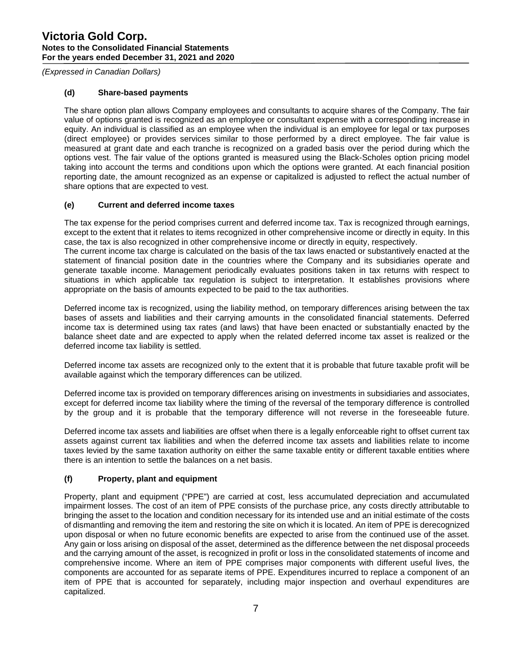### **(d) Share-based payments**

The share option plan allows Company employees and consultants to acquire shares of the Company. The fair value of options granted is recognized as an employee or consultant expense with a corresponding increase in equity. An individual is classified as an employee when the individual is an employee for legal or tax purposes (direct employee) or provides services similar to those performed by a direct employee. The fair value is measured at grant date and each tranche is recognized on a graded basis over the period during which the options vest. The fair value of the options granted is measured using the Black-Scholes option pricing model taking into account the terms and conditions upon which the options were granted. At each financial position reporting date, the amount recognized as an expense or capitalized is adjusted to reflect the actual number of share options that are expected to vest.

### **(e) Current and deferred income taxes**

The tax expense for the period comprises current and deferred income tax. Tax is recognized through earnings, except to the extent that it relates to items recognized in other comprehensive income or directly in equity. In this case, the tax is also recognized in other comprehensive income or directly in equity, respectively.

The current income tax charge is calculated on the basis of the tax laws enacted or substantively enacted at the statement of financial position date in the countries where the Company and its subsidiaries operate and generate taxable income. Management periodically evaluates positions taken in tax returns with respect to situations in which applicable tax regulation is subject to interpretation. It establishes provisions where appropriate on the basis of amounts expected to be paid to the tax authorities.

Deferred income tax is recognized, using the liability method, on temporary differences arising between the tax bases of assets and liabilities and their carrying amounts in the consolidated financial statements. Deferred income tax is determined using tax rates (and laws) that have been enacted or substantially enacted by the balance sheet date and are expected to apply when the related deferred income tax asset is realized or the deferred income tax liability is settled.

Deferred income tax assets are recognized only to the extent that it is probable that future taxable profit will be available against which the temporary differences can be utilized.

Deferred income tax is provided on temporary differences arising on investments in subsidiaries and associates, except for deferred income tax liability where the timing of the reversal of the temporary difference is controlled by the group and it is probable that the temporary difference will not reverse in the foreseeable future.

Deferred income tax assets and liabilities are offset when there is a legally enforceable right to offset current tax assets against current tax liabilities and when the deferred income tax assets and liabilities relate to income taxes levied by the same taxation authority on either the same taxable entity or different taxable entities where there is an intention to settle the balances on a net basis.

### **(f) Property, plant and equipment**

Property, plant and equipment ("PPE") are carried at cost, less accumulated depreciation and accumulated impairment losses. The cost of an item of PPE consists of the purchase price, any costs directly attributable to bringing the asset to the location and condition necessary for its intended use and an initial estimate of the costs of dismantling and removing the item and restoring the site on which it is located. An item of PPE is derecognized upon disposal or when no future economic benefits are expected to arise from the continued use of the asset. Any gain or loss arising on disposal of the asset, determined as the difference between the net disposal proceeds and the carrying amount of the asset, is recognized in profit or loss in the consolidated statements of income and comprehensive income. Where an item of PPE comprises major components with different useful lives, the components are accounted for as separate items of PPE. Expenditures incurred to replace a component of an item of PPE that is accounted for separately, including major inspection and overhaul expenditures are capitalized.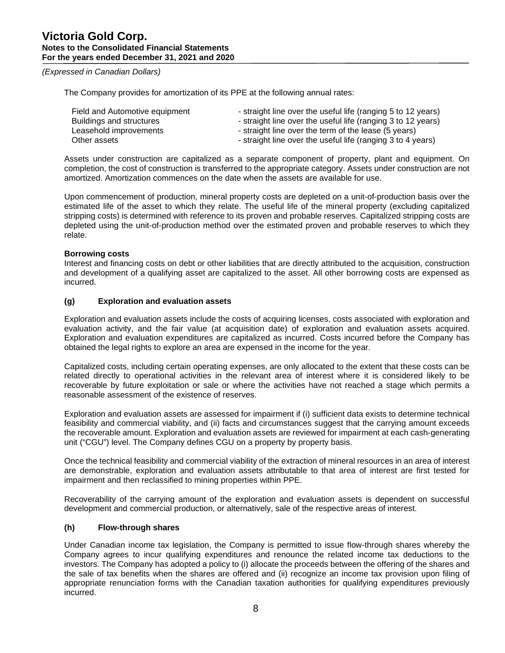*(Expressed in Canadian Dollars)*

The Company provides for amortization of its PPE at the following annual rates:

| Field and Automotive equipment | - straight line over the useful life (ranging 5 to 12 years) |
|--------------------------------|--------------------------------------------------------------|
| Buildings and structures       | - straight line over the useful life (ranging 3 to 12 years) |
| Leasehold improvements         | - straight line over the term of the lease (5 years)         |
| Other assets                   | - straight line over the useful life (ranging 3 to 4 years)  |

Assets under construction are capitalized as a separate component of property, plant and equipment. On completion, the cost of construction is transferred to the appropriate category. Assets under construction are not amortized. Amortization commences on the date when the assets are available for use.

Upon commencement of production, mineral property costs are depleted on a unit-of-production basis over the estimated life of the asset to which they relate. The useful life of the mineral property (excluding capitalized stripping costs) is determined with reference to its proven and probable reserves. Capitalized stripping costs are depleted using the unit-of-production method over the estimated proven and probable reserves to which they relate.

### **Borrowing costs**

Interest and financing costs on debt or other liabilities that are directly attributed to the acquisition, construction and development of a qualifying asset are capitalized to the asset. All other borrowing costs are expensed as incurred.

### **(g) Exploration and evaluation assets**

Exploration and evaluation assets include the costs of acquiring licenses, costs associated with exploration and evaluation activity, and the fair value (at acquisition date) of exploration and evaluation assets acquired. Exploration and evaluation expenditures are capitalized as incurred. Costs incurred before the Company has obtained the legal rights to explore an area are expensed in the income for the year.

Capitalized costs, including certain operating expenses, are only allocated to the extent that these costs can be related directly to operational activities in the relevant area of interest where it is considered likely to be recoverable by future exploitation or sale or where the activities have not reached a stage which permits a reasonable assessment of the existence of reserves.

Exploration and evaluation assets are assessed for impairment if (i) sufficient data exists to determine technical feasibility and commercial viability, and (ii) facts and circumstances suggest that the carrying amount exceeds the recoverable amount. Exploration and evaluation assets are reviewed for impairment at each cash-generating unit ("CGU") level. The Company defines CGU on a property by property basis.

Once the technical feasibility and commercial viability of the extraction of mineral resources in an area of interest are demonstrable, exploration and evaluation assets attributable to that area of interest are first tested for impairment and then reclassified to mining properties within PPE.

Recoverability of the carrying amount of the exploration and evaluation assets is dependent on successful development and commercial production, or alternatively, sale of the respective areas of interest.

### **(h) Flow-through shares**

Under Canadian income tax legislation, the Company is permitted to issue flow-through shares whereby the Company agrees to incur qualifying expenditures and renounce the related income tax deductions to the investors. The Company has adopted a policy to (i) allocate the proceeds between the offering of the shares and the sale of tax benefits when the shares are offered and (ii) recognize an income tax provision upon filing of appropriate renunciation forms with the Canadian taxation authorities for qualifying expenditures previously incurred.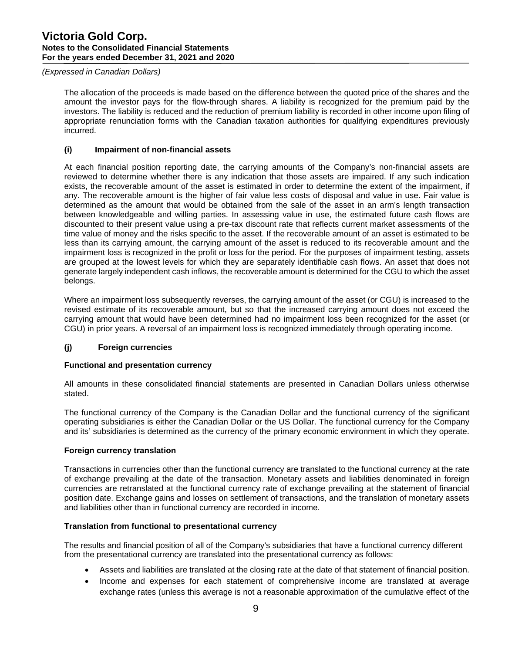### *(Expressed in Canadian Dollars)*

The allocation of the proceeds is made based on the difference between the quoted price of the shares and the amount the investor pays for the flow-through shares. A liability is recognized for the premium paid by the investors. The liability is reduced and the reduction of premium liability is recorded in other income upon filing of appropriate renunciation forms with the Canadian taxation authorities for qualifying expenditures previously incurred.

### **(i) Impairment of non-financial assets**

At each financial position reporting date, the carrying amounts of the Company's non-financial assets are reviewed to determine whether there is any indication that those assets are impaired. If any such indication exists, the recoverable amount of the asset is estimated in order to determine the extent of the impairment, if any. The recoverable amount is the higher of fair value less costs of disposal and value in use. Fair value is determined as the amount that would be obtained from the sale of the asset in an arm's length transaction between knowledgeable and willing parties. In assessing value in use, the estimated future cash flows are discounted to their present value using a pre-tax discount rate that reflects current market assessments of the time value of money and the risks specific to the asset. If the recoverable amount of an asset is estimated to be less than its carrying amount, the carrying amount of the asset is reduced to its recoverable amount and the impairment loss is recognized in the profit or loss for the period. For the purposes of impairment testing, assets are grouped at the lowest levels for which they are separately identifiable cash flows. An asset that does not generate largely independent cash inflows, the recoverable amount is determined for the CGU to which the asset belongs.

Where an impairment loss subsequently reverses, the carrying amount of the asset (or CGU) is increased to the revised estimate of its recoverable amount, but so that the increased carrying amount does not exceed the carrying amount that would have been determined had no impairment loss been recognized for the asset (or CGU) in prior years. A reversal of an impairment loss is recognized immediately through operating income.

### **(j) Foreign currencies**

### **Functional and presentation currency**

All amounts in these consolidated financial statements are presented in Canadian Dollars unless otherwise stated.

The functional currency of the Company is the Canadian Dollar and the functional currency of the significant operating subsidiaries is either the Canadian Dollar or the US Dollar. The functional currency for the Company and its' subsidiaries is determined as the currency of the primary economic environment in which they operate.

### **Foreign currency translation**

Transactions in currencies other than the functional currency are translated to the functional currency at the rate of exchange prevailing at the date of the transaction. Monetary assets and liabilities denominated in foreign currencies are retranslated at the functional currency rate of exchange prevailing at the statement of financial position date. Exchange gains and losses on settlement of transactions, and the translation of monetary assets and liabilities other than in functional currency are recorded in income.

### **Translation from functional to presentational currency**

The results and financial position of all of the Company's subsidiaries that have a functional currency different from the presentational currency are translated into the presentational currency as follows:

- Assets and liabilities are translated at the closing rate at the date of that statement of financial position.
- Income and expenses for each statement of comprehensive income are translated at average exchange rates (unless this average is not a reasonable approximation of the cumulative effect of the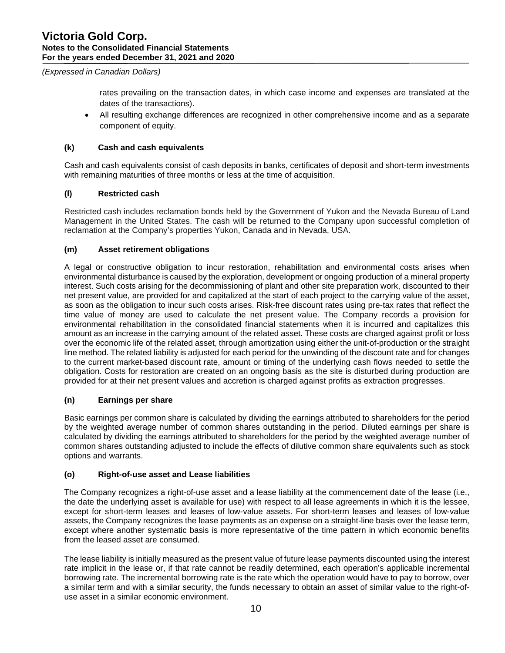rates prevailing on the transaction dates, in which case income and expenses are translated at the dates of the transactions).

• All resulting exchange differences are recognized in other comprehensive income and as a separate component of equity.

### **(k) Cash and cash equivalents**

Cash and cash equivalents consist of cash deposits in banks, certificates of deposit and short-term investments with remaining maturities of three months or less at the time of acquisition.

### **(l) Restricted cash**

Restricted cash includes reclamation bonds held by the Government of Yukon and the Nevada Bureau of Land Management in the United States. The cash will be returned to the Company upon successful completion of reclamation at the Company's properties Yukon, Canada and in Nevada, USA.

### **(m) Asset retirement obligations**

A legal or constructive obligation to incur restoration, rehabilitation and environmental costs arises when environmental disturbance is caused by the exploration, development or ongoing production of a mineral property interest. Such costs arising for the decommissioning of plant and other site preparation work, discounted to their net present value, are provided for and capitalized at the start of each project to the carrying value of the asset, as soon as the obligation to incur such costs arises. Risk-free discount rates using pre-tax rates that reflect the time value of money are used to calculate the net present value. The Company records a provision for environmental rehabilitation in the consolidated financial statements when it is incurred and capitalizes this amount as an increase in the carrying amount of the related asset. These costs are charged against profit or loss over the economic life of the related asset, through amortization using either the unit-of-production or the straight line method. The related liability is adjusted for each period for the unwinding of the discount rate and for changes to the current market-based discount rate, amount or timing of the underlying cash flows needed to settle the obligation. Costs for restoration are created on an ongoing basis as the site is disturbed during production are provided for at their net present values and accretion is charged against profits as extraction progresses.

### **(n) Earnings per share**

Basic earnings per common share is calculated by dividing the earnings attributed to shareholders for the period by the weighted average number of common shares outstanding in the period. Diluted earnings per share is calculated by dividing the earnings attributed to shareholders for the period by the weighted average number of common shares outstanding adjusted to include the effects of dilutive common share equivalents such as stock options and warrants.

### **(o) Right-of-use asset and Lease liabilities**

The Company recognizes a right-of-use asset and a lease liability at the commencement date of the lease (i.e., the date the underlying asset is available for use) with respect to all lease agreements in which it is the lessee, except for short-term leases and leases of low-value assets. For short-term leases and leases of low-value assets, the Company recognizes the lease payments as an expense on a straight-line basis over the lease term, except where another systematic basis is more representative of the time pattern in which economic benefits from the leased asset are consumed.

The lease liability is initially measured as the present value of future lease payments discounted using the interest rate implicit in the lease or, if that rate cannot be readily determined, each operation's applicable incremental borrowing rate. The incremental borrowing rate is the rate which the operation would have to pay to borrow, over a similar term and with a similar security, the funds necessary to obtain an asset of similar value to the right-ofuse asset in a similar economic environment.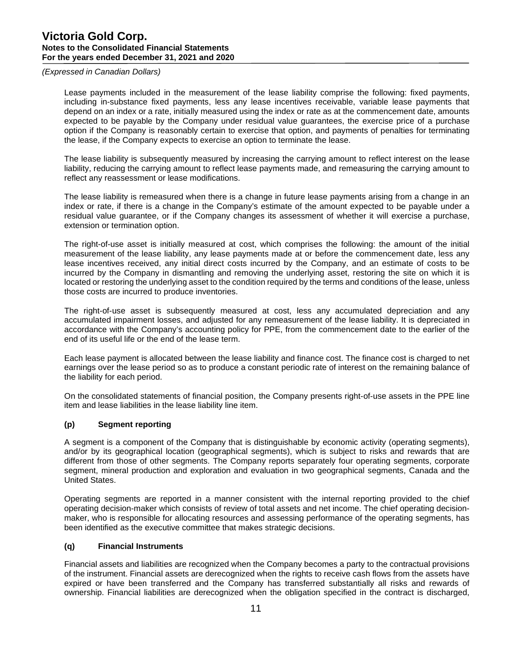#### *(Expressed in Canadian Dollars)*

Lease payments included in the measurement of the lease liability comprise the following: fixed payments, including in-substance fixed payments, less any lease incentives receivable, variable lease payments that depend on an index or a rate, initially measured using the index or rate as at the commencement date, amounts expected to be payable by the Company under residual value guarantees, the exercise price of a purchase option if the Company is reasonably certain to exercise that option, and payments of penalties for terminating the lease, if the Company expects to exercise an option to terminate the lease.

The lease liability is subsequently measured by increasing the carrying amount to reflect interest on the lease liability, reducing the carrying amount to reflect lease payments made, and remeasuring the carrying amount to reflect any reassessment or lease modifications.

The lease liability is remeasured when there is a change in future lease payments arising from a change in an index or rate, if there is a change in the Company's estimate of the amount expected to be payable under a residual value guarantee, or if the Company changes its assessment of whether it will exercise a purchase, extension or termination option.

The right-of-use asset is initially measured at cost, which comprises the following: the amount of the initial measurement of the lease liability, any lease payments made at or before the commencement date, less any lease incentives received, any initial direct costs incurred by the Company, and an estimate of costs to be incurred by the Company in dismantling and removing the underlying asset, restoring the site on which it is located or restoring the underlying asset to the condition required by the terms and conditions of the lease, unless those costs are incurred to produce inventories.

The right-of-use asset is subsequently measured at cost, less any accumulated depreciation and any accumulated impairment losses, and adjusted for any remeasurement of the lease liability. It is depreciated in accordance with the Company's accounting policy for PPE, from the commencement date to the earlier of the end of its useful life or the end of the lease term.

Each lease payment is allocated between the lease liability and finance cost. The finance cost is charged to net earnings over the lease period so as to produce a constant periodic rate of interest on the remaining balance of the liability for each period.

On the consolidated statements of financial position, the Company presents right-of-use assets in the PPE line item and lease liabilities in the lease liability line item.

### **(p) Segment reporting**

A segment is a component of the Company that is distinguishable by economic activity (operating segments), and/or by its geographical location (geographical segments), which is subject to risks and rewards that are different from those of other segments. The Company reports separately four operating segments, corporate segment, mineral production and exploration and evaluation in two geographical segments, Canada and the United States.

Operating segments are reported in a manner consistent with the internal reporting provided to the chief operating decision-maker which consists of review of total assets and net income. The chief operating decisionmaker, who is responsible for allocating resources and assessing performance of the operating segments, has been identified as the executive committee that makes strategic decisions.

### **(q) Financial Instruments**

Financial assets and liabilities are recognized when the Company becomes a party to the contractual provisions of the instrument. Financial assets are derecognized when the rights to receive cash flows from the assets have expired or have been transferred and the Company has transferred substantially all risks and rewards of ownership. Financial liabilities are derecognized when the obligation specified in the contract is discharged,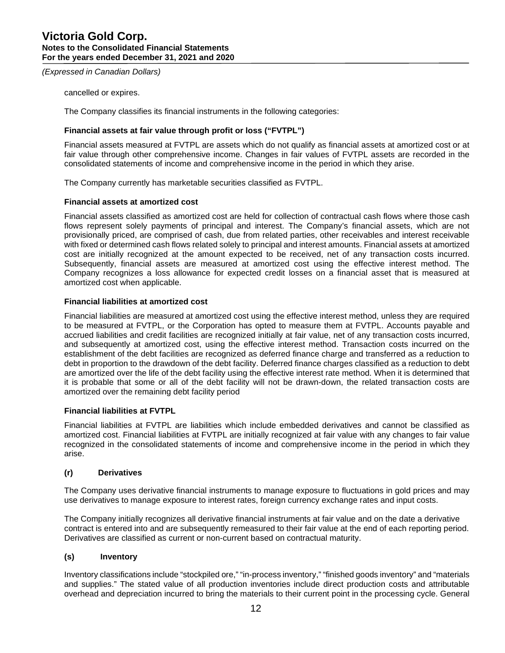cancelled or expires.

The Company classifies its financial instruments in the following categories:

### **Financial assets at fair value through profit or loss ("FVTPL")**

Financial assets measured at FVTPL are assets which do not qualify as financial assets at amortized cost or at fair value through other comprehensive income. Changes in fair values of FVTPL assets are recorded in the consolidated statements of income and comprehensive income in the period in which they arise.

The Company currently has marketable securities classified as FVTPL.

#### **Financial assets at amortized cost**

Financial assets classified as amortized cost are held for collection of contractual cash flows where those cash flows represent solely payments of principal and interest. The Company's financial assets, which are not provisionally priced, are comprised of cash, due from related parties, other receivables and interest receivable with fixed or determined cash flows related solely to principal and interest amounts. Financial assets at amortized cost are initially recognized at the amount expected to be received, net of any transaction costs incurred. Subsequently, financial assets are measured at amortized cost using the effective interest method. The Company recognizes a loss allowance for expected credit losses on a financial asset that is measured at amortized cost when applicable.

#### **Financial liabilities at amortized cost**

Financial liabilities are measured at amortized cost using the effective interest method, unless they are required to be measured at FVTPL, or the Corporation has opted to measure them at FVTPL. Accounts payable and accrued liabilities and credit facilities are recognized initially at fair value, net of any transaction costs incurred, and subsequently at amortized cost, using the effective interest method. Transaction costs incurred on the establishment of the debt facilities are recognized as deferred finance charge and transferred as a reduction to debt in proportion to the drawdown of the debt facility. Deferred finance charges classified as a reduction to debt are amortized over the life of the debt facility using the effective interest rate method. When it is determined that it is probable that some or all of the debt facility will not be drawn-down, the related transaction costs are amortized over the remaining debt facility period

### **Financial liabilities at FVTPL**

Financial liabilities at FVTPL are liabilities which include embedded derivatives and cannot be classified as amortized cost. Financial liabilities at FVTPL are initially recognized at fair value with any changes to fair value recognized in the consolidated statements of income and comprehensive income in the period in which they arise.

### **(r) Derivatives**

The Company uses derivative financial instruments to manage exposure to fluctuations in gold prices and may use derivatives to manage exposure to interest rates, foreign currency exchange rates and input costs.

The Company initially recognizes all derivative financial instruments at fair value and on the date a derivative contract is entered into and are subsequently remeasured to their fair value at the end of each reporting period. Derivatives are classified as current or non-current based on contractual maturity.

### **(s) Inventory**

Inventory classifications include "stockpiled ore," "in-process inventory," "finished goods inventory" and "materials and supplies." The stated value of all production inventories include direct production costs and attributable overhead and depreciation incurred to bring the materials to their current point in the processing cycle. General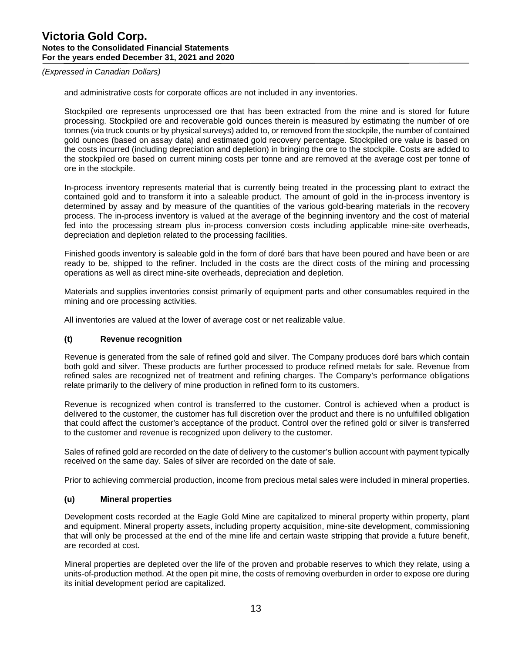and administrative costs for corporate offices are not included in any inventories.

Stockpiled ore represents unprocessed ore that has been extracted from the mine and is stored for future processing. Stockpiled ore and recoverable gold ounces therein is measured by estimating the number of ore tonnes (via truck counts or by physical surveys) added to, or removed from the stockpile, the number of contained gold ounces (based on assay data) and estimated gold recovery percentage. Stockpiled ore value is based on the costs incurred (including depreciation and depletion) in bringing the ore to the stockpile. Costs are added to the stockpiled ore based on current mining costs per tonne and are removed at the average cost per tonne of ore in the stockpile.

In-process inventory represents material that is currently being treated in the processing plant to extract the contained gold and to transform it into a saleable product. The amount of gold in the in-process inventory is determined by assay and by measure of the quantities of the various gold-bearing materials in the recovery process. The in-process inventory is valued at the average of the beginning inventory and the cost of material fed into the processing stream plus in-process conversion costs including applicable mine-site overheads, depreciation and depletion related to the processing facilities.

Finished goods inventory is saleable gold in the form of doré bars that have been poured and have been or are ready to be, shipped to the refiner. Included in the costs are the direct costs of the mining and processing operations as well as direct mine-site overheads, depreciation and depletion.

Materials and supplies inventories consist primarily of equipment parts and other consumables required in the mining and ore processing activities.

All inventories are valued at the lower of average cost or net realizable value.

### **(t) Revenue recognition**

Revenue is generated from the sale of refined gold and silver. The Company produces doré bars which contain both gold and silver. These products are further processed to produce refined metals for sale. Revenue from refined sales are recognized net of treatment and refining charges. The Company's performance obligations relate primarily to the delivery of mine production in refined form to its customers.

Revenue is recognized when control is transferred to the customer. Control is achieved when a product is delivered to the customer, the customer has full discretion over the product and there is no unfulfilled obligation that could affect the customer's acceptance of the product. Control over the refined gold or silver is transferred to the customer and revenue is recognized upon delivery to the customer.

Sales of refined gold are recorded on the date of delivery to the customer's bullion account with payment typically received on the same day. Sales of silver are recorded on the date of sale.

Prior to achieving commercial production, income from precious metal sales were included in mineral properties.

### **(u) Mineral properties**

Development costs recorded at the Eagle Gold Mine are capitalized to mineral property within property, plant and equipment. Mineral property assets, including property acquisition, mine-site development, commissioning that will only be processed at the end of the mine life and certain waste stripping that provide a future benefit, are recorded at cost.

Mineral properties are depleted over the life of the proven and probable reserves to which they relate, using a units-of-production method. At the open pit mine, the costs of removing overburden in order to expose ore during its initial development period are capitalized.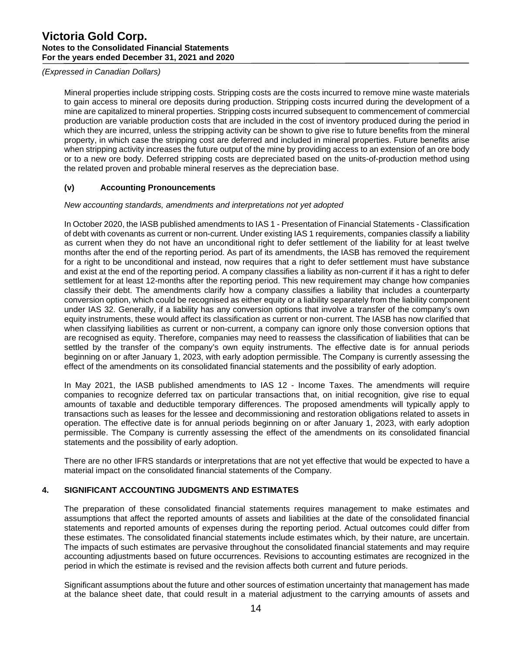### *(Expressed in Canadian Dollars)*

Mineral properties include stripping costs. Stripping costs are the costs incurred to remove mine waste materials to gain access to mineral ore deposits during production. Stripping costs incurred during the development of a mine are capitalized to mineral properties. Stripping costs incurred subsequent to commencement of commercial production are variable production costs that are included in the cost of inventory produced during the period in which they are incurred, unless the stripping activity can be shown to give rise to future benefits from the mineral property, in which case the stripping cost are deferred and included in mineral properties. Future benefits arise when stripping activity increases the future output of the mine by providing access to an extension of an ore body or to a new ore body. Deferred stripping costs are depreciated based on the units-of-production method using the related proven and probable mineral reserves as the depreciation base.

### **(v) Accounting Pronouncements**

### *New accounting standards, amendments and interpretations not yet adopted*

In October 2020, the IASB published amendments to IAS 1 - Presentation of Financial Statements - Classification of debt with covenants as current or non-current. Under existing IAS 1 requirements, companies classify a liability as current when they do not have an unconditional right to defer settlement of the liability for at least twelve months after the end of the reporting period. As part of its amendments, the IASB has removed the requirement for a right to be unconditional and instead, now requires that a right to defer settlement must have substance and exist at the end of the reporting period. A company classifies a liability as non-current if it has a right to defer settlement for at least 12-months after the reporting period. This new requirement may change how companies classify their debt. The amendments clarify how a company classifies a liability that includes a counterparty conversion option, which could be recognised as either equity or a liability separately from the liability component under IAS 32. Generally, if a liability has any conversion options that involve a transfer of the company's own equity instruments, these would affect its classification as current or non-current. The IASB has now clarified that when classifying liabilities as current or non-current, a company can ignore only those conversion options that are recognised as equity. Therefore, companies may need to reassess the classification of liabilities that can be settled by the transfer of the company's own equity instruments. The effective date is for annual periods beginning on or after January 1, 2023, with early adoption permissible. The Company is currently assessing the effect of the amendments on its consolidated financial statements and the possibility of early adoption.

In May 2021, the IASB published amendments to IAS 12 - Income Taxes. The amendments will require companies to recognize deferred tax on particular transactions that, on initial recognition, give rise to equal amounts of taxable and deductible temporary differences. The proposed amendments will typically apply to transactions such as leases for the lessee and decommissioning and restoration obligations related to assets in operation. The effective date is for annual periods beginning on or after January 1, 2023, with early adoption permissible. The Company is currently assessing the effect of the amendments on its consolidated financial statements and the possibility of early adoption.

There are no other IFRS standards or interpretations that are not yet effective that would be expected to have a material impact on the consolidated financial statements of the Company.

### **4. SIGNIFICANT ACCOUNTING JUDGMENTS AND ESTIMATES**

The preparation of these consolidated financial statements requires management to make estimates and assumptions that affect the reported amounts of assets and liabilities at the date of the consolidated financial statements and reported amounts of expenses during the reporting period. Actual outcomes could differ from these estimates. The consolidated financial statements include estimates which, by their nature, are uncertain. The impacts of such estimates are pervasive throughout the consolidated financial statements and may require accounting adjustments based on future occurrences. Revisions to accounting estimates are recognized in the period in which the estimate is revised and the revision affects both current and future periods.

Significant assumptions about the future and other sources of estimation uncertainty that management has made at the balance sheet date, that could result in a material adjustment to the carrying amounts of assets and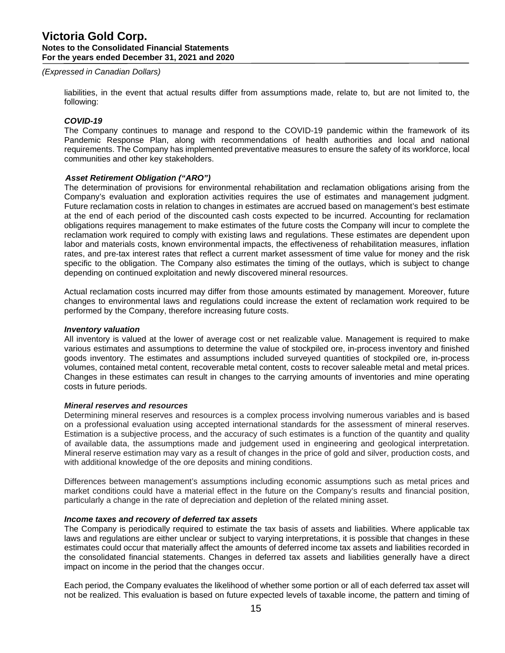#### *(Expressed in Canadian Dollars)*

liabilities, in the event that actual results differ from assumptions made, relate to, but are not limited to, the following:

### *COVID-19*

The Company continues to manage and respond to the COVID-19 pandemic within the framework of its Pandemic Response Plan, along with recommendations of health authorities and local and national requirements. The Company has implemented preventative measures to ensure the safety of its workforce, local communities and other key stakeholders.

### *Asset Retirement Obligation ("ARO")*

The determination of provisions for environmental rehabilitation and reclamation obligations arising from the Company's evaluation and exploration activities requires the use of estimates and management judgment. Future reclamation costs in relation to changes in estimates are accrued based on management's best estimate at the end of each period of the discounted cash costs expected to be incurred. Accounting for reclamation obligations requires management to make estimates of the future costs the Company will incur to complete the reclamation work required to comply with existing laws and regulations. These estimates are dependent upon labor and materials costs, known environmental impacts, the effectiveness of rehabilitation measures, inflation rates, and pre-tax interest rates that reflect a current market assessment of time value for money and the risk specific to the obligation. The Company also estimates the timing of the outlays, which is subject to change depending on continued exploitation and newly discovered mineral resources.

Actual reclamation costs incurred may differ from those amounts estimated by management. Moreover, future changes to environmental laws and regulations could increase the extent of reclamation work required to be performed by the Company, therefore increasing future costs.

#### *Inventory valuation*

All inventory is valued at the lower of average cost or net realizable value. Management is required to make various estimates and assumptions to determine the value of stockpiled ore, in-process inventory and finished goods inventory. The estimates and assumptions included surveyed quantities of stockpiled ore, in-process volumes, contained metal content, recoverable metal content, costs to recover saleable metal and metal prices. Changes in these estimates can result in changes to the carrying amounts of inventories and mine operating costs in future periods.

#### *Mineral reserves and resources*

Determining mineral reserves and resources is a complex process involving numerous variables and is based on a professional evaluation using accepted international standards for the assessment of mineral reserves. Estimation is a subjective process, and the accuracy of such estimates is a function of the quantity and quality of available data, the assumptions made and judgement used in engineering and geological interpretation. Mineral reserve estimation may vary as a result of changes in the price of gold and silver, production costs, and with additional knowledge of the ore deposits and mining conditions.

Differences between management's assumptions including economic assumptions such as metal prices and market conditions could have a material effect in the future on the Company's results and financial position, particularly a change in the rate of depreciation and depletion of the related mining asset.

#### *Income taxes and recovery of deferred tax assets*

The Company is periodically required to estimate the tax basis of assets and liabilities. Where applicable tax laws and regulations are either unclear or subject to varying interpretations, it is possible that changes in these estimates could occur that materially affect the amounts of deferred income tax assets and liabilities recorded in the consolidated financial statements. Changes in deferred tax assets and liabilities generally have a direct impact on income in the period that the changes occur.

Each period, the Company evaluates the likelihood of whether some portion or all of each deferred tax asset will not be realized. This evaluation is based on future expected levels of taxable income, the pattern and timing of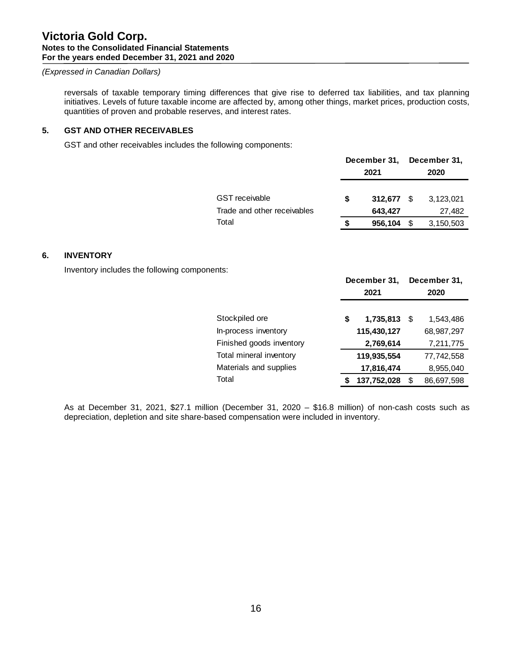reversals of taxable temporary timing differences that give rise to deferred tax liabilities, and tax planning initiatives. Levels of future taxable income are affected by, among other things, market prices, production costs, quantities of proven and probable reserves, and interest rates.

### **5. GST AND OTHER RECEIVABLES**

GST and other receivables includes the following components:

|                             | December 31,<br>2021 |              | December 31,<br>2020 |           |  |
|-----------------------------|----------------------|--------------|----------------------|-----------|--|
| <b>GST</b> receivable       | \$                   | $312,677$ \$ |                      | 3,123,021 |  |
| Trade and other receivables |                      | 643,427      |                      | 27,482    |  |
| Total                       | S                    | 956,104      | S                    | 3,150,503 |  |
|                             |                      |              |                      |           |  |

### **6. INVENTORY**

Inventory includes the following components:

|                          | 2021           |    | 2020       |  |  |  |
|--------------------------|----------------|----|------------|--|--|--|
|                          |                |    |            |  |  |  |
| Stockpiled ore           | 1,735,813<br>S | S  | 1,543,486  |  |  |  |
| In-process inventory     | 115,430,127    |    | 68,987,297 |  |  |  |
| Finished goods inventory | 2,769,614      |    | 7,211,775  |  |  |  |
| Total mineral inventory  | 119,935,554    |    | 77,742,558 |  |  |  |
| Materials and supplies   | 17,816,474     |    | 8,955,040  |  |  |  |
| Total                    | 137,752,028    | \$ | 86,697,598 |  |  |  |

**December 31, December 31,**

As at December 31, 2021, \$27.1 million (December 31, 2020 – \$16.8 million) of non-cash costs such as depreciation, depletion and site share-based compensation were included in inventory.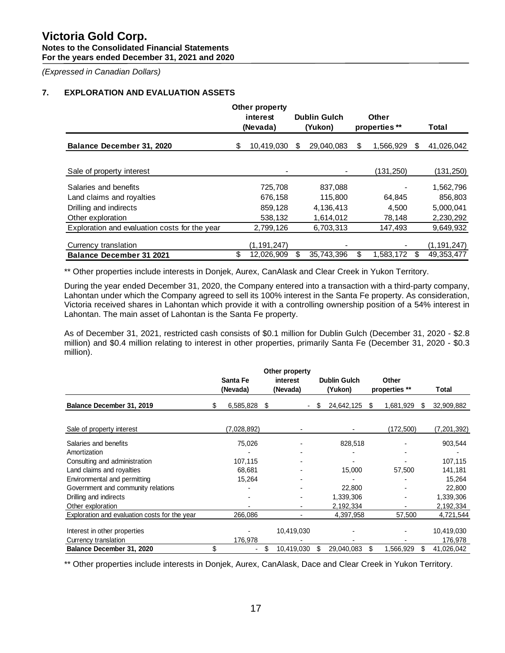*(Expressed in Canadian Dollars)*

### **7. EXPLORATION AND EVALUATION ASSETS**

|                                               | <b>Other property</b><br>interest |   | <b>Dublin Gulch</b> | <b>Other</b>    |       |               |
|-----------------------------------------------|-----------------------------------|---|---------------------|-----------------|-------|---------------|
|                                               | (Nevada)                          |   | (Yukon)             | properties **   | Total |               |
| Balance December 31, 2020                     | \$<br>10,419,030                  | S | 29,040,083          | \$<br>1,566,929 | S     | 41,026,042    |
| Sale of property interest                     |                                   |   |                     | (131,250)       |       | (131,250)     |
| Salaries and benefits                         | 725,708                           |   | 837,088             |                 |       | 1,562,796     |
| Land claims and royalties                     | 676,158                           |   | 115,800             | 64,845          |       | 856,803       |
| Drilling and indirects                        | 859,128                           |   | 4,136,413           | 4,500           |       | 5,000,041     |
| Other exploration                             | 538,132                           |   | 1,614,012           | 78,148          |       | 2,230,292     |
| Exploration and evaluation costs for the year | 2,799,126                         |   | 6,703,313           | 147,493         |       | 9,649,932     |
| Currency translation                          | (1, 191, 247)                     |   |                     |                 |       | (1, 191, 247) |
| <b>Balance December 31 2021</b>               | \$<br>12,026,909                  | S | 35,743,396          | \$<br>1,583,172 | \$.   | 49,353,477    |

\*\* Other properties include interests in Donjek, Aurex, CanAlask and Clear Creek in Yukon Territory.

During the year ended December 31, 2020, the Company entered into a transaction with a third-party company, Lahontan under which the Company agreed to sell its 100% interest in the Santa Fe property. As consideration, Victoria received shares in Lahontan which provide it with a controlling ownership position of a 54% interest in Lahontan. The main asset of Lahontan is the Santa Fe property.

As of December 31, 2021, restricted cash consists of \$0.1 million for Dublin Gulch (December 31, 2020 - \$2.8 million) and \$0.4 million relating to interest in other properties, primarily Santa Fe (December 31, 2020 - \$0.3 million).

|                                               |                                                      |                          |    | Other property |    |            |    |               |    |             |
|-----------------------------------------------|------------------------------------------------------|--------------------------|----|----------------|----|------------|----|---------------|----|-------------|
|                                               | <b>Dublin Gulch</b><br>Santa Fe<br>interest<br>Other |                          |    |                |    |            |    |               |    |             |
|                                               |                                                      | (Nevada)                 |    | (Nevada)       |    | (Yukon)    |    | properties ** |    | Total       |
| Balance December 31, 2019                     | S.                                                   | 6,585,828                | \$ |                | S  | 24,642,125 | S  | 1,681,929     | S  | 32,909,882  |
|                                               |                                                      |                          |    |                |    |            |    |               |    |             |
| Sale of property interest                     |                                                      | (7,028,892)              |    |                |    |            |    | (172,500)     |    | (7,201,392) |
| Salaries and benefits                         |                                                      | 75,026                   |    |                |    | 828,518    |    |               |    | 903,544     |
| Amortization                                  |                                                      |                          |    |                |    |            |    |               |    |             |
| Consulting and administration                 |                                                      | 107,115                  |    |                |    |            |    |               |    | 107,115     |
| Land claims and royalties                     |                                                      | 68,681                   |    |                |    | 15,000     |    | 57,500        |    | 141,181     |
| Environmental and permitting                  |                                                      | 15,264                   |    |                |    |            |    |               |    | 15,264      |
| Government and community relations            |                                                      |                          |    |                |    | 22,800     |    |               |    | 22,800      |
| Drilling and indirects                        |                                                      |                          |    |                |    | 1,339,306  |    |               |    | 1,339,306   |
| Other exploration                             |                                                      |                          |    |                |    | 2,192,334  |    |               |    | 2,192,334   |
| Exploration and evaluation costs for the year |                                                      | 266,086                  |    |                |    | 4,397,958  |    | 57,500        |    | 4,721,544   |
| Interest in other properties                  |                                                      |                          |    | 10,419,030     |    |            |    |               |    | 10,419,030  |
| Currency translation                          |                                                      | 176,978                  |    |                |    |            |    |               |    | 176,978     |
| Balance December 31, 2020                     | \$                                                   | $\overline{\phantom{a}}$ | \$ | 10,419,030     | \$ | 29,040,083 | \$ | 1,566,929     | \$ | 41,026,042  |

\*\* Other properties include interests in Donjek, Aurex, CanAlask, Dace and Clear Creek in Yukon Territory.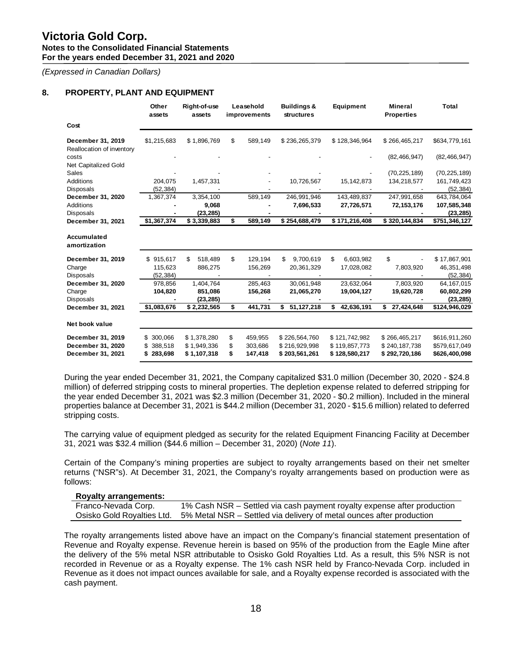*(Expressed in Canadian Dollars)*

### **8. PROPERTY, PLANT AND EQUIPMENT**

|                                       | Other<br>assets        | Right-of-use<br>assets | Leasehold<br>improvements | <b>Buildings &amp;</b><br><b>structures</b> | Equipment        | Mineral<br><b>Properties</b> | <b>Total</b>             |
|---------------------------------------|------------------------|------------------------|---------------------------|---------------------------------------------|------------------|------------------------------|--------------------------|
| Cost                                  |                        |                        |                           |                                             |                  |                              |                          |
| December 31, 2019                     | \$1,215,683            | \$1,896,769            | \$<br>589,149             | \$236,265,379                               | \$128,346,964    | \$266,465,217                | \$634,779,161            |
| Reallocation of inventory             |                        |                        |                           |                                             |                  |                              |                          |
| costs                                 |                        |                        |                           |                                             |                  | (82, 466, 947)               | (82, 466, 947)           |
| Net Capitalized Gold                  |                        |                        |                           |                                             |                  |                              |                          |
| Sales                                 |                        |                        |                           |                                             |                  | (70, 225, 189)               | (70, 225, 189)           |
| Additions                             | 204.075                | 1,457,331              |                           | 10,726,567                                  | 15, 142, 873     | 134,218,577                  | 161,749,423              |
| <b>Disposals</b><br>December 31, 2020 | (52, 384)<br>1,367,374 | 3,354,100              | 589,149                   | 246,991,946                                 | 143,489,837      | 247,991,658                  | (52, 384)<br>643,784,064 |
| Additions                             |                        | 9,068                  |                           | 7,696,533                                   | 27,726,571       | 72, 153, 176                 | 107,585,348              |
| <b>Disposals</b>                      |                        | (23, 285)              |                           |                                             |                  |                              | (23, 285)                |
| December 31, 2021                     | \$1,367,374            | \$3,339,883            | \$<br>589,149             | \$254,688,479                               | \$171,216,408    | \$320,144,834                | \$751,346,127            |
| Accumulated<br>amortization           |                        |                        |                           |                                             |                  |                              |                          |
| December 31, 2019                     | \$915,617              | \$<br>518,489          | \$<br>129,194             | \$<br>9,700,619                             | 6,603,982<br>\$  | \$                           | \$17,867,901             |
| Charge                                | 115,623                | 886,275                | 156,269                   | 20,361,329                                  | 17,028,082       | 7,803,920                    | 46,351,498               |
| <b>Disposals</b>                      | (52, 384)              |                        |                           |                                             |                  |                              | (52, 384)                |
| December 31, 2020                     | 978,856                | 1,404,764              | 285,463                   | 30,061,948                                  | 23,632,064       | 7,803,920                    | 64, 167, 015             |
| Charge                                | 104,820                | 851,086                | 156,268                   | 21,065,270                                  | 19,004,127       | 19,620,728                   | 60,802,299               |
| <b>Disposals</b>                      |                        | (23, 285)              |                           |                                             |                  |                              | (23, 285)                |
| December 31, 2021                     | \$1,083,676            | \$2,232,565            | \$<br>441,731             | 51,127,218<br>\$                            | 42,636,191<br>\$ | \$<br>27,424,648             | \$124,946,029            |
| Net book value                        |                        |                        |                           |                                             |                  |                              |                          |
| December 31, 2019                     | \$ 300,066             | \$1,378,280            | \$<br>459,955             | \$226,564,760                               | \$121,742,982    | \$266,465,217                | \$616,911,260            |
| December 31, 2020                     | 388,518                | \$1,949,336            | \$<br>303,686             | \$216,929,998                               | \$119,857,773    | \$240,187,738                | \$579,617,049            |
| December 31, 2021                     | 283,698                | \$1,107,318            | \$<br>147,418             | \$203,561,261                               | \$128,580,217    | \$292,720,186                | \$626,400,098            |

During the year ended December 31, 2021, the Company capitalized \$31.0 million (December 30, 2020 - \$24.8 million) of deferred stripping costs to mineral properties. The depletion expense related to deferred stripping for the year ended December 31, 2021 was \$2.3 million (December 31, 2020 - \$0.2 million). Included in the mineral properties balance at December 31, 2021 is \$44.2 million (December 31, 2020 - \$15.6 million) related to deferred stripping costs.

The carrying value of equipment pledged as security for the related Equipment Financing Facility at December 31, 2021 was \$32.4 million (\$44.6 million – December 31, 2020) (*Note 11*).

Certain of the Company's mining properties are subject to royalty arrangements based on their net smelter returns ("NSR"s). At December 31, 2021, the Company's royalty arrangements based on production were as follows:

#### **Royalty arrangements:**

| Franco-Nevada Corp.        | 1% Cash NSR - Settled via cash payment royalty expense after production |
|----------------------------|-------------------------------------------------------------------------|
| Osisko Gold Royalties Ltd. | 5% Metal NSR – Settled via delivery of metal ounces after production    |

The royalty arrangements listed above have an impact on the Company's financial statement presentation of Revenue and Royalty expense. Revenue herein is based on 95% of the production from the Eagle Mine after the delivery of the 5% metal NSR attributable to Osisko Gold Royalties Ltd. As a result, this 5% NSR is not recorded in Revenue or as a Royalty expense. The 1% cash NSR held by Franco-Nevada Corp. included in Revenue as it does not impact ounces available for sale, and a Royalty expense recorded is associated with the cash payment.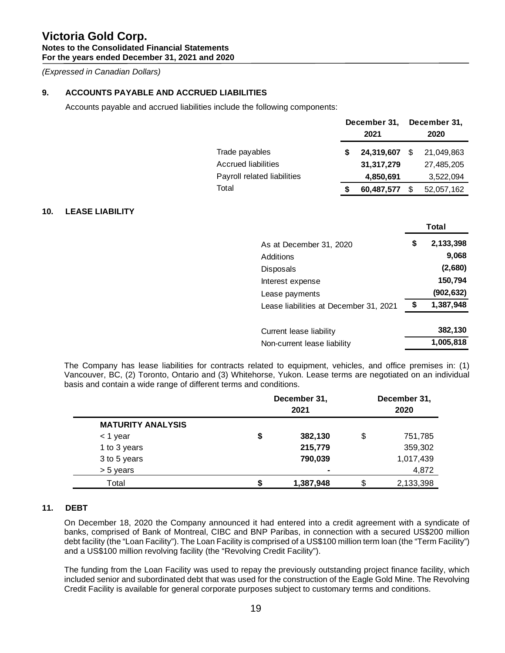*(Expressed in Canadian Dollars)*

### **9. ACCOUNTS PAYABLE AND ACCRUED LIABILITIES**

Accounts payable and accrued liabilities include the following components:

|                             | December 31,<br>2021 |   | December 31,<br>2020 |
|-----------------------------|----------------------|---|----------------------|
| Trade payables              | 24,319,607           | S | 21.049.863           |
| <b>Accrued liabilities</b>  | 31,317,279           |   | 27,485,205           |
| Payroll related liabilities | 4,850,691            |   | 3,522,094            |
| Total                       | 60,487,577           |   | 52,057,162           |

#### **10. LEASE LIABILITY**

|                                        |   | Total      |
|----------------------------------------|---|------------|
| As at December 31, 2020                | S | 2,133,398  |
| Additions                              |   | 9,068      |
| Disposals                              |   | (2,680)    |
| Interest expense                       |   | 150,794    |
| Lease payments                         |   | (902, 632) |
| Lease liabilities at December 31, 2021 | S | 1,387,948  |
| Current lease liability                |   | 382,130    |
| Non-current lease liability            |   | 1,005,818  |

The Company has lease liabilities for contracts related to equipment, vehicles, and office premises in: (1) Vancouver, BC, (2) Toronto, Ontario and (3) Whitehorse, Yukon. Lease terms are negotiated on an individual basis and contain a wide range of different terms and conditions.

|                          | December 31,<br>2021 | December 31,<br>2020 |
|--------------------------|----------------------|----------------------|
| <b>MATURITY ANALYSIS</b> |                      |                      |
| < 1 year                 | \$<br>382,130        | \$<br>751,785        |
| 1 to 3 years             | 215,779              | 359,302              |
| 3 to 5 years             | 790,039              | 1,017,439            |
| > 5 years                | $\blacksquare$       | 4,872                |
| Total                    | 1,387,948            | 2,133,398            |

### **11. DEBT**

On December 18, 2020 the Company announced it had entered into a credit agreement with a syndicate of banks, comprised of Bank of Montreal, CIBC and BNP Paribas, in connection with a secured US\$200 million debt facility (the "Loan Facility"). The Loan Facility is comprised of a US\$100 million term loan (the "Term Facility") and a US\$100 million revolving facility (the "Revolving Credit Facility").

The funding from the Loan Facility was used to repay the previously outstanding project finance facility, which included senior and subordinated debt that was used for the construction of the Eagle Gold Mine. The Revolving Credit Facility is available for general corporate purposes subject to customary terms and conditions.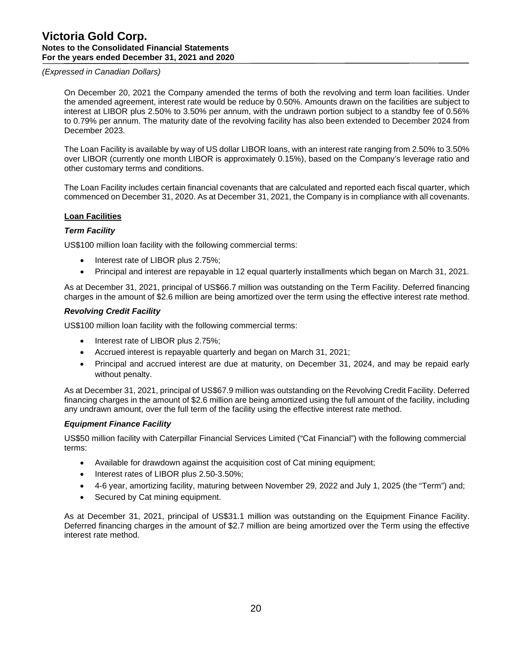### *(Expressed in Canadian Dollars)*

On December 20, 2021 the Company amended the terms of both the revolving and term loan facilities. Under the amended agreement, interest rate would be reduce by 0.50%. Amounts drawn on the facilities are subject to interest at LIBOR plus 2.50% to 3.50% per annum, with the undrawn portion subject to a standby fee of 0.56% to 0.79% per annum. The maturity date of the revolving facility has also been extended to December 2024 from December 2023.

The Loan Facility is available by way of US dollar LIBOR loans, with an interest rate ranging from 2.50% to 3.50% over LIBOR (currently one month LIBOR is approximately 0.15%), based on the Company's leverage ratio and other customary terms and conditions.

The Loan Facility includes certain financial covenants that are calculated and reported each fiscal quarter, which commenced on December 31, 2020. As at December 31, 2021, the Company is in compliance with all covenants.

### **Loan Facilities**

### *Term Facility*

US\$100 million loan facility with the following commercial terms:

- Interest rate of LIBOR plus 2.75%;
- Principal and interest are repayable in 12 equal quarterly installments which began on March 31, 2021.

As at December 31, 2021, principal of US\$66.7 million was outstanding on the Term Facility. Deferred financing charges in the amount of \$2.6 million are being amortized over the term using the effective interest rate method.

#### *Revolving Credit Facility*

US\$100 million loan facility with the following commercial terms:

- Interest rate of LIBOR plus 2.75%;
- Accrued interest is repayable quarterly and began on March 31, 2021;
- Principal and accrued interest are due at maturity, on December 31, 2024, and may be repaid early without penalty.

As at December 31, 2021, principal of US\$67.9 million was outstanding on the Revolving Credit Facility. Deferred financing charges in the amount of \$2.6 million are being amortized using the full amount of the facility, including any undrawn amount, over the full term of the facility using the effective interest rate method.

### *Equipment Finance Facility*

US\$50 million facility with Caterpillar Financial Services Limited ("Cat Financial") with the following commercial terms:

- Available for drawdown against the acquisition cost of Cat mining equipment;
- Interest rates of LIBOR plus 2.50-3.50%;
- 4-6 year, amortizing facility, maturing between November 29, 2022 and July 1, 2025 (the "Term") and;
- Secured by Cat mining equipment.

As at December 31, 2021, principal of US\$31.1 million was outstanding on the Equipment Finance Facility. Deferred financing charges in the amount of \$2.7 million are being amortized over the Term using the effective interest rate method.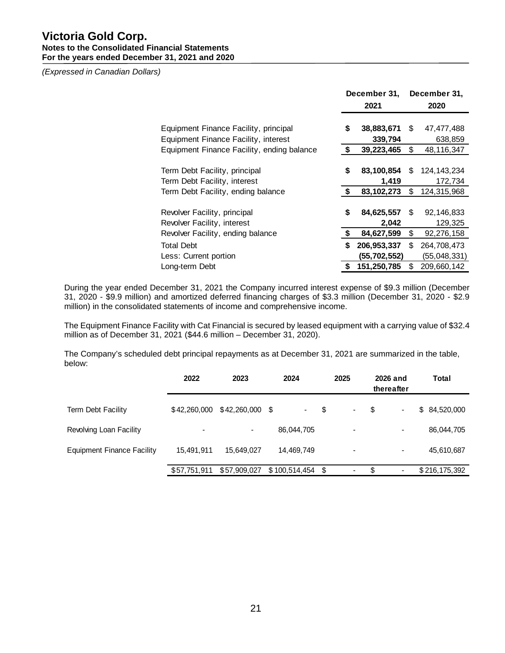*(Expressed in Canadian Dollars)*

|                                                                               |    | December 31,<br>2021        | December 31,<br>2020 |                             |  |
|-------------------------------------------------------------------------------|----|-----------------------------|----------------------|-----------------------------|--|
| Equipment Finance Facility, principal<br>Equipment Finance Facility, interest | S  | 38,883,671<br>339,794       | S                    | 47,477,488<br>638,859       |  |
| Equipment Finance Facility, ending balance                                    | \$ | 39,223,465                  | \$                   | 48,116,347                  |  |
| Term Debt Facility, principal<br>Term Debt Facility, interest                 | \$ | 83,100,854<br>1,419         | \$.                  | 124, 143, 234<br>172,734    |  |
| Term Debt Facility, ending balance                                            | \$ | 83,102,273                  | \$.                  | 124,315,968                 |  |
| Revolver Facility, principal<br>Revolver Facility, interest                   | \$ | 84,625,557<br>2,042         | S                    | 92,146,833<br>129,325       |  |
| Revolver Facility, ending balance                                             | \$ | 84,627,599                  | \$                   | 92,276,158                  |  |
| <b>Total Debt</b><br>Less: Current portion                                    | \$ | 206,953,337<br>(55,702,552) | \$                   | 264,708,473<br>(55,048,331) |  |
| Long-term Debt                                                                |    | 151,250,785                 | S.                   | 209,660,142                 |  |

During the year ended December 31, 2021 the Company incurred interest expense of \$9.3 million (December 31, 2020 - \$9.9 million) and amortized deferred financing charges of \$3.3 million (December 31, 2020 - \$2.9 million) in the consolidated statements of income and comprehensive income.

The Equipment Finance Facility with Cat Financial is secured by leased equipment with a carrying value of \$32.4 million as of December 31, 2021 (\$44.6 million – December 31, 2020).

The Company's scheduled debt principal repayments as at December 31, 2021 are summarized in the table, below:

|                                   | 2022           | 2023             | 2024           |     | 2025                         | 2026 and<br>thereafter         | Total         |
|-----------------------------------|----------------|------------------|----------------|-----|------------------------------|--------------------------------|---------------|
| Term Debt Facility                | \$42,260,000   | $$42,260,000$ \$ | $\blacksquare$ | \$  | $\blacksquare$               | \$<br>$\blacksquare$           | \$84,520,000  |
| Revolving Loan Facility           | $\blacksquare$ | $\blacksquare$   | 86,044,705     |     | $\blacksquare$               | $\blacksquare$                 | 86,044,705    |
| <b>Equipment Finance Facility</b> | 15.491.911     | 15,649,027       | 14,469,749     |     | $\qquad \qquad \blacksquare$ | $\overline{\phantom{a}}$       | 45,610,687    |
|                                   | \$57,751,911   | \$57,909,027     | \$100,514,454  | -\$ | $\overline{\phantom{a}}$     | \$<br>$\overline{\phantom{a}}$ | \$216,175,392 |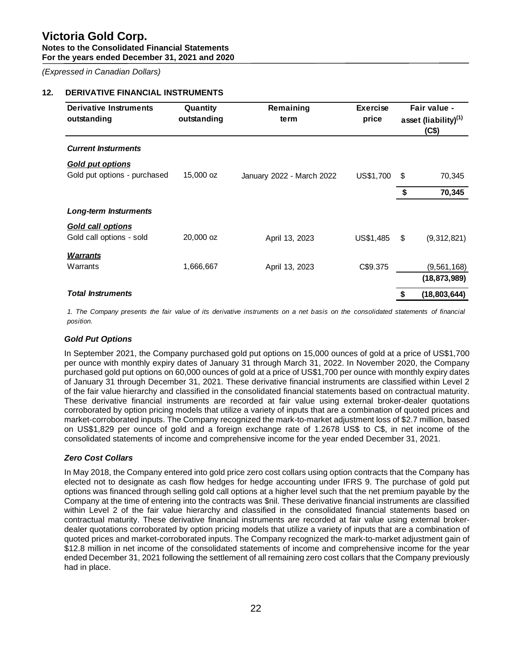*(Expressed in Canadian Dollars)*

# **12. DERIVATIVE FINANCIAL INSTRUMENTS**

| <b>Derivative Instruments</b><br>outstanding | Quantity<br>outstanding | Remaining<br>term         | <b>Exercise</b><br>price | Fair value -<br>asset (liability) <sup>(1)</sup><br>(C\$) |                |  |
|----------------------------------------------|-------------------------|---------------------------|--------------------------|-----------------------------------------------------------|----------------|--|
| <b>Current Insturments</b>                   |                         |                           |                          |                                                           |                |  |
| <b>Gold put options</b>                      |                         |                           |                          |                                                           |                |  |
| Gold put options - purchased                 | 15,000 oz               | January 2022 - March 2022 | US\$1,700                | S                                                         | 70,345         |  |
|                                              |                         |                           |                          | \$                                                        | 70,345         |  |
| Long-term Insturments                        |                         |                           |                          |                                                           |                |  |
| <b>Gold call options</b>                     |                         |                           |                          |                                                           |                |  |
| Gold call options - sold                     | 20,000 oz               | April 13, 2023            | US\$1,485                | \$                                                        | (9,312,821)    |  |
| <b>Warrants</b>                              |                         |                           |                          |                                                           |                |  |
| Warrants                                     | 1,666,667               | April 13, 2023            | C\$9.375                 |                                                           | (9, 561, 168)  |  |
|                                              |                         |                           |                          |                                                           | (18, 873, 989) |  |
| <b>Total Instruments</b>                     |                         |                           |                          | \$                                                        | (18, 803, 644) |  |

1. The Company presents the fair value of its derivative instruments on a net basis on the consolidated statements of financial *position.* 

### *Gold Put Options*

In September 2021, the Company purchased gold put options on 15,000 ounces of gold at a price of US\$1,700 per ounce with monthly expiry dates of January 31 through March 31, 2022. In November 2020, the Company purchased gold put options on 60,000 ounces of gold at a price of US\$1,700 per ounce with monthly expiry dates of January 31 through December 31, 2021. These derivative financial instruments are classified within Level 2 of the fair value hierarchy and classified in the consolidated financial statements based on contractual maturity. These derivative financial instruments are recorded at fair value using external broker-dealer quotations corroborated by option pricing models that utilize a variety of inputs that are a combination of quoted prices and market-corroborated inputs. The Company recognized the mark-to-market adjustment loss of \$2.7 million, based on US\$1,829 per ounce of gold and a foreign exchange rate of 1.2678 US\$ to C\$, in net income of the consolidated statements of income and comprehensive income for the year ended December 31, 2021.

### *Zero Cost Collars*

In May 2018, the Company entered into gold price zero cost collars using option contracts that the Company has elected not to designate as cash flow hedges for hedge accounting under IFRS 9. The purchase of gold put options was financed through selling gold call options at a higher level such that the net premium payable by the Company at the time of entering into the contracts was \$nil. These derivative financial instruments are classified within Level 2 of the fair value hierarchy and classified in the consolidated financial statements based on contractual maturity. These derivative financial instruments are recorded at fair value using external brokerdealer quotations corroborated by option pricing models that utilize a variety of inputs that are a combination of quoted prices and market-corroborated inputs. The Company recognized the mark-to-market adjustment gain of \$12.8 million in net income of the consolidated statements of income and comprehensive income for the year ended December 31, 2021 following the settlement of all remaining zero cost collars that the Company previously had in place.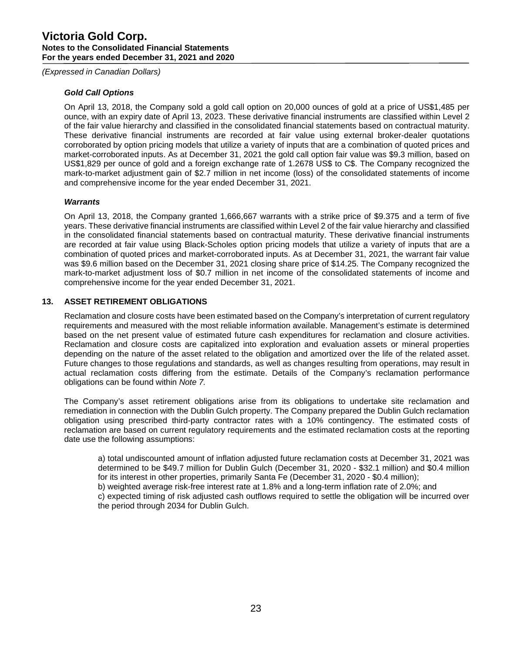### *Gold Call Options*

On April 13, 2018, the Company sold a gold call option on 20,000 ounces of gold at a price of US\$1,485 per ounce, with an expiry date of April 13, 2023. These derivative financial instruments are classified within Level 2 of the fair value hierarchy and classified in the consolidated financial statements based on contractual maturity. These derivative financial instruments are recorded at fair value using external broker-dealer quotations corroborated by option pricing models that utilize a variety of inputs that are a combination of quoted prices and market-corroborated inputs. As at December 31, 2021 the gold call option fair value was \$9.3 million, based on US\$1,829 per ounce of gold and a foreign exchange rate of 1.2678 US\$ to C\$. The Company recognized the mark-to-market adjustment gain of \$2.7 million in net income (loss) of the consolidated statements of income and comprehensive income for the year ended December 31, 2021.

### *Warrants*

On April 13, 2018, the Company granted 1,666,667 warrants with a strike price of \$9.375 and a term of five years. These derivative financial instruments are classified within Level 2 of the fair value hierarchy and classified in the consolidated financial statements based on contractual maturity. These derivative financial instruments are recorded at fair value using Black-Scholes option pricing models that utilize a variety of inputs that are a combination of quoted prices and market-corroborated inputs. As at December 31, 2021, the warrant fair value was \$9.6 million based on the December 31, 2021 closing share price of \$14.25. The Company recognized the mark-to-market adjustment loss of \$0.7 million in net income of the consolidated statements of income and comprehensive income for the year ended December 31, 2021.

### **13. ASSET RETIREMENT OBLIGATIONS**

Reclamation and closure costs have been estimated based on the Company's interpretation of current regulatory requirements and measured with the most reliable information available. Management's estimate is determined based on the net present value of estimated future cash expenditures for reclamation and closure activities. Reclamation and closure costs are capitalized into exploration and evaluation assets or mineral properties depending on the nature of the asset related to the obligation and amortized over the life of the related asset. Future changes to those regulations and standards, as well as changes resulting from operations, may result in actual reclamation costs differing from the estimate. Details of the Company's reclamation performance obligations can be found within *Note 7.*

The Company's asset retirement obligations arise from its obligations to undertake site reclamation and remediation in connection with the Dublin Gulch property. The Company prepared the Dublin Gulch reclamation obligation using prescribed third-party contractor rates with a 10% contingency. The estimated costs of reclamation are based on current regulatory requirements and the estimated reclamation costs at the reporting date use the following assumptions:

a) total undiscounted amount of inflation adjusted future reclamation costs at December 31, 2021 was determined to be \$49.7 million for Dublin Gulch (December 31, 2020 - \$32.1 million) and \$0.4 million for its interest in other properties, primarily Santa Fe (December 31, 2020 - \$0.4 million); b) weighted average risk-free interest rate at 1.8% and a long-term inflation rate of 2.0%; and c) expected timing of risk adjusted cash outflows required to settle the obligation will be incurred over the period through 2034 for Dublin Gulch.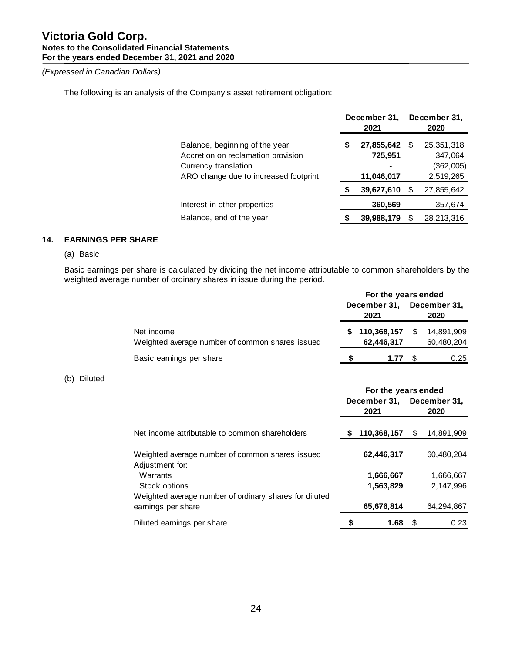### *(Expressed in Canadian Dollars)*

The following is an analysis of the Company's asset retirement obligation:

|                                                                      |   | December 31,<br>2021  |    | December 31,<br>2020  |
|----------------------------------------------------------------------|---|-----------------------|----|-----------------------|
| Balance, beginning of the year<br>Accretion on reclamation provision | S | 27,855,642<br>725,951 | S  | 25,351,318<br>347,064 |
| Currency translation                                                 |   |                       |    | (362,005)             |
| ARO change due to increased footprint                                |   | 11,046,017            |    | 2,519,265             |
|                                                                      | S | 39,627,610            | S  | 27,855,642            |
| Interest in other properties                                         |   | 360,569               |    | 357,674               |
| Balance, end of the year                                             |   | 39,988,179            | S. | 28,213,316            |

### **14. EARNINGS PER SHARE**

### (a) Basic

(b) Diluted

Basic earnings per share is calculated by dividing the net income attributable to common shareholders by the weighted average number of ordinary shares in issue during the period.

|                                                                                                                                                      |   | For the years ended                              |    |                          |
|------------------------------------------------------------------------------------------------------------------------------------------------------|---|--------------------------------------------------|----|--------------------------|
|                                                                                                                                                      |   | December 31, December 31,<br>2021                |    | 2020                     |
| Net income<br>Weighted average number of common shares issued<br>Warrants<br>Stock options<br>Weighted average number of ordinary shares for diluted | S | 110,368,157<br>62,446,317                        | S. | 14,891,909<br>60,480,204 |
| Basic earnings per share                                                                                                                             | S | 1.77                                             | S  | 0.25                     |
|                                                                                                                                                      |   | For the years ended<br>December 31, December 31, |    |                          |
|                                                                                                                                                      |   | 2021                                             |    | 2020                     |
| Net income attributable to common shareholders                                                                                                       | S | 110,368,157                                      | \$ | 14,891,909               |
| Weighted average number of common shares issued<br>Adjustment for:                                                                                   |   | 62,446,317                                       |    | 60,480,204               |
|                                                                                                                                                      |   | 1,666,667                                        |    | 1,666,667                |
|                                                                                                                                                      |   | 1,563,829                                        |    | 2,147,996                |
| earnings per share                                                                                                                                   |   | 65,676,814                                       |    | 64,294,867               |
| Diluted earnings per share                                                                                                                           | 5 | 1.68                                             | S  | 0.23                     |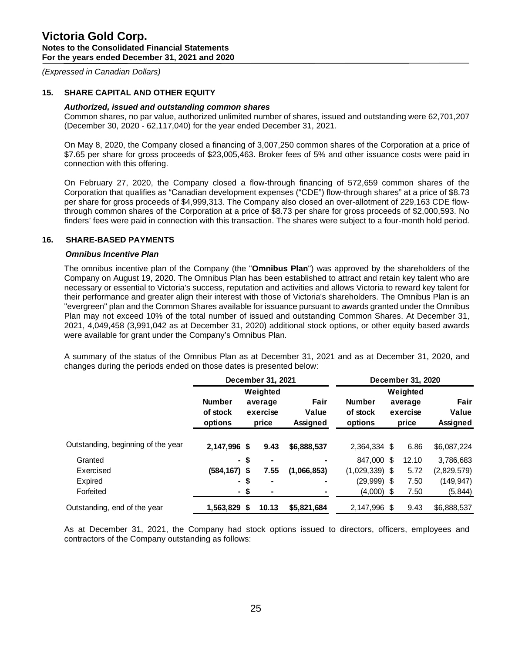### **15. SHARE CAPITAL AND OTHER EQUITY**

#### *Authorized, issued and outstanding common shares*

Common shares, no par value, authorized unlimited number of shares, issued and outstanding were 62,701,207 (December 30, 2020 - 62,117,040) for the year ended December 31, 2021.

On May 8, 2020, the Company closed a financing of 3,007,250 common shares of the Corporation at a price of \$7.65 per share for gross proceeds of \$23,005,463. Broker fees of 5% and other issuance costs were paid in connection with this offering.

On February 27, 2020, the Company closed a flow-through financing of 572,659 common shares of the Corporation that qualifies as "Canadian development expenses ("CDE") flow-through shares" at a price of \$8.73 per share for gross proceeds of \$4,999,313. The Company also closed an over-allotment of 229,163 CDE flowthrough common shares of the Corporation at a price of \$8.73 per share for gross proceeds of \$2,000,593. No finders' fees were paid in connection with this transaction. The shares were subject to a four-month hold period.

#### **16. SHARE-BASED PAYMENTS**

#### *Omnibus Incentive Plan*

The omnibus incentive plan of the Company (the "**Omnibus Plan**") was approved by the shareholders of the Company on August 19, 2020. The Omnibus Plan has been established to attract and retain key talent who are necessary or essential to Victoria's success, reputation and activities and allows Victoria to reward key talent for their performance and greater align their interest with those of Victoria's shareholders. The Omnibus Plan is an "evergreen" plan and the Common Shares available for issuance pursuant to awards granted under the Omnibus Plan may not exceed 10% of the total number of issued and outstanding Common Shares. At December 31, 2021, 4,049,458 (3,991,042 as at December 31, 2020) additional stock options, or other equity based awards were available for grant under the Company's Omnibus Plan.

A summary of the status of the Omnibus Plan as at December 31, 2021 and as at December 31, 2020, and changes during the periods ended on those dates is presented below:

|                                    |                                      | December 31, 2021 |                              | December 31, 2020         |                                      |                              |       |                           |  |
|------------------------------------|--------------------------------------|-------------------|------------------------------|---------------------------|--------------------------------------|------------------------------|-------|---------------------------|--|
|                                    |                                      |                   | Weighted                     |                           | Weighted                             |                              |       |                           |  |
|                                    | <b>Number</b><br>of stock<br>options |                   | average<br>exercise<br>price | Fair<br>Value<br>Assigned | <b>Number</b><br>of stock<br>options | average<br>exercise<br>price |       | Fair<br>Value<br>Assigned |  |
| Outstanding, beginning of the year | 2,147,996 \$                         |                   | 9.43                         | \$6,888,537               | 2,364,334 \$                         |                              | 6.86  | \$6,087,224               |  |
| Granted                            |                                      | - \$              |                              |                           | 847,000 \$                           |                              | 12.10 | 3,786,683                 |  |
| Exercised                          | $(584, 167)$ \$                      |                   | 7.55                         | (1,066,853)               | $(1,029,339)$ \$                     |                              | 5.72  | (2,829,579)               |  |
| Expired                            |                                      | - \$              | ٠                            |                           | $(29,999)$ \$                        |                              | 7.50  | (149, 947)                |  |
| Forfeited                          |                                      | - S               |                              |                           | $(4,000)$ \$                         |                              | 7.50  | (5, 844)                  |  |
| Outstanding, end of the year       | 1,563,829                            | \$                | 10.13                        | \$5,821,684               | 2,147,996 \$                         |                              | 9.43  | \$6,888,537               |  |

As at December 31, 2021, the Company had stock options issued to directors, officers, employees and contractors of the Company outstanding as follows: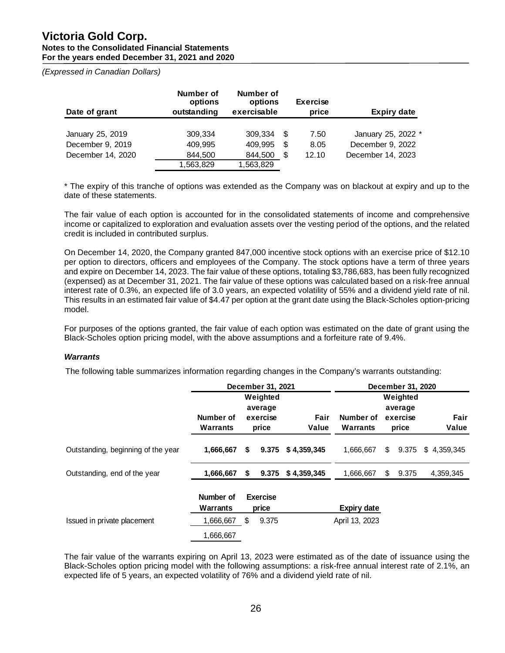*(Expressed in Canadian Dollars)*

| Date of grant     | Number of<br>options<br>outstanding | Number of<br>options<br>exercisable |      | <b>Exercise</b><br>price | <b>Expiry date</b> |
|-------------------|-------------------------------------|-------------------------------------|------|--------------------------|--------------------|
|                   |                                     |                                     |      |                          |                    |
| January 25, 2019  | 309.334                             | 309.334                             | - \$ | 7.50                     | January 25, 2022 * |
| December 9, 2019  | 409,995                             | 409.995                             | -S   | 8.05                     | December 9, 2022   |
| December 14, 2020 | 844,500                             | 844,500                             | S    | 12.10                    | December 14, 2023  |
|                   | 1,563,829                           | 1,563,829                           |      |                          |                    |

\* The expiry of this tranche of options was extended as the Company was on blackout at expiry and up to the date of these statements.

The fair value of each option is accounted for in the consolidated statements of income and comprehensive income or capitalized to exploration and evaluation assets over the vesting period of the options, and the related credit is included in contributed surplus.

On December 14, 2020, the Company granted 847,000 incentive stock options with an exercise price of \$12.10 per option to directors, officers and employees of the Company. The stock options have a term of three years and expire on December 14, 2023. The fair value of these options, totaling \$3,786,683, has been fully recognized (expensed) as at December 31, 2021. The fair value of these options was calculated based on a risk-free annual interest rate of 0.3%, an expected life of 3.0 years, an expected volatility of 55% and a dividend yield rate of nil. This results in an estimated fair value of \$4.47 per option at the grant date using the Black-Scholes option-pricing model.

For purposes of the options granted, the fair value of each option was estimated on the date of grant using the Black-Scholes option pricing model, with the above assumptions and a forfeiture rate of 9.4%.

### *Warrants*

The following table summarizes information regarding changes in the Company's warrants outstanding:

|                                    | December 31, 2021            |                          | December 31, 2020                        |               |                              |     |                                          |               |
|------------------------------------|------------------------------|--------------------------|------------------------------------------|---------------|------------------------------|-----|------------------------------------------|---------------|
|                                    | Number of<br><b>Warrants</b> |                          | Weighted<br>average<br>exercise<br>price | Fair<br>Value | Number of<br><b>Warrants</b> |     | Weighted<br>average<br>exercise<br>price | Fair<br>Value |
| Outstanding, beginning of the year | 1,666,667                    | S                        | 9.375                                    | \$4,359,345   | 1.666.667                    | \$  | 9.375                                    | \$4,359,345   |
| Outstanding, end of the year       | 1,666,667                    | S                        | 9.375                                    | \$4,359,345   | 1,666,667                    | \$. | 9.375                                    | 4,359,345     |
|                                    | Number of<br>Warrants        | <b>Exercise</b><br>price |                                          |               | <b>Expiry date</b>           |     |                                          |               |
| Issued in private placement        | 1,666,667                    | S                        | 9.375                                    |               | April 13, 2023               |     |                                          |               |
|                                    | 1,666,667                    |                          |                                          |               |                              |     |                                          |               |

The fair value of the warrants expiring on April 13, 2023 were estimated as of the date of issuance using the Black-Scholes option pricing model with the following assumptions: a risk-free annual interest rate of 2.1%, an expected life of 5 years, an expected volatility of 76% and a dividend yield rate of nil.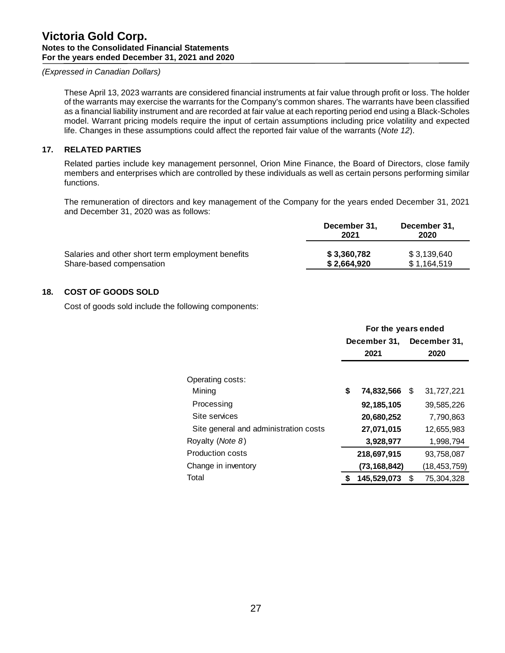*(Expressed in Canadian Dollars)*

These April 13, 2023 warrants are considered financial instruments at fair value through profit or loss. The holder of the warrants may exercise the warrants for the Company's common shares. The warrants have been classified as a financial liability instrument and are recorded at fair value at each reporting period end using a Black-Scholes model. Warrant pricing models require the input of certain assumptions including price volatility and expected life. Changes in these assumptions could affect the reported fair value of the warrants (*Note 12*).

### **17. RELATED PARTIES**

Related parties include key management personnel, Orion Mine Finance, the Board of Directors, close family members and enterprises which are controlled by these individuals as well as certain persons performing similar functions.

The remuneration of directors and key management of the Company for the years ended December 31, 2021 and December 31, 2020 was as follows:

|                                                   | December 31,<br>2021 | December 31,<br>2020 |  |  |
|---------------------------------------------------|----------------------|----------------------|--|--|
| Salaries and other short term employment benefits | \$3,360,782          | \$3,139,640          |  |  |
| Share-based compensation                          | \$2.664.920          | \$1.164.519          |  |  |

### **18. COST OF GOODS SOLD**

Cost of goods sold include the following components:

|                                       | For the years ended |                |      |              |  |  |  |
|---------------------------------------|---------------------|----------------|------|--------------|--|--|--|
|                                       |                     | December 31,   |      | December 31, |  |  |  |
|                                       |                     | 2021           | 2020 |              |  |  |  |
|                                       |                     |                |      |              |  |  |  |
| Operating costs:                      |                     |                |      |              |  |  |  |
| Mining                                | \$                  | 74,832,566     | S    | 31,727,221   |  |  |  |
| Processing                            |                     | 92,185,105     |      | 39,585,226   |  |  |  |
| Site services                         |                     | 20,680,252     |      | 7,790,863    |  |  |  |
| Site general and administration costs |                     | 27,071,015     |      | 12,655,983   |  |  |  |
| Royalty (Note 8)                      |                     | 3,928,977      |      | 1,998,794    |  |  |  |
| Production costs                      |                     | 218,697,915    |      | 93,758,087   |  |  |  |
| Change in inventory                   |                     | (73, 168, 842) |      | (18,453,759) |  |  |  |
| Total                                 |                     | 145,529,073    | S    | 75,304,328   |  |  |  |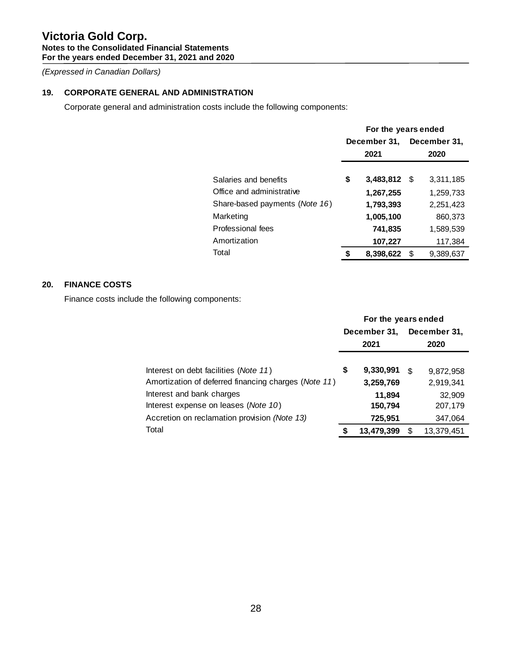### **19. CORPORATE GENERAL AND ADMINISTRATION**

Corporate general and administration costs include the following components:

|                                | For the years ended |   |              |  |  |  |
|--------------------------------|---------------------|---|--------------|--|--|--|
|                                | December 31,        |   | December 31, |  |  |  |
|                                | 2021                |   | 2020         |  |  |  |
|                                |                     |   |              |  |  |  |
| Salaries and benefits          | \$<br>3,483,812     | S | 3,311,185    |  |  |  |
| Office and administrative      | 1,267,255           |   | 1,259,733    |  |  |  |
| Share-based payments (Note 16) | 1,793,393           |   | 2,251,423    |  |  |  |
| Marketing                      | 1,005,100           |   | 860,373      |  |  |  |
| Professional fees              | 741,835             |   | 1.589.539    |  |  |  |
| Amortization                   | 107,227             |   | 117,384      |  |  |  |
| Total                          | \$<br>8,398,622     | S | 9,389,637    |  |  |  |

### **20. FINANCE COSTS**

Finance costs include the following components:

|                                                      | For the years ended |              |    |              |  |  |
|------------------------------------------------------|---------------------|--------------|----|--------------|--|--|
|                                                      |                     | December 31, |    | December 31, |  |  |
|                                                      |                     | 2021         |    | 2020         |  |  |
|                                                      |                     |              |    |              |  |  |
| Interest on debt facilities (Note 11)                | \$                  | 9,330,991    | \$ | 9,872,958    |  |  |
| Amortization of deferred financing charges (Note 11) |                     | 3,259,769    |    | 2,919,341    |  |  |
| Interest and bank charges                            |                     | 11,894       |    | 32,909       |  |  |
| Interest expense on leases (Note 10)                 |                     | 150,794      |    | 207,179      |  |  |
| Accretion on reclamation provision (Note 13)         |                     | 725,951      |    | 347,064      |  |  |
| Total                                                |                     | 13,479,399   |    | 13,379,451   |  |  |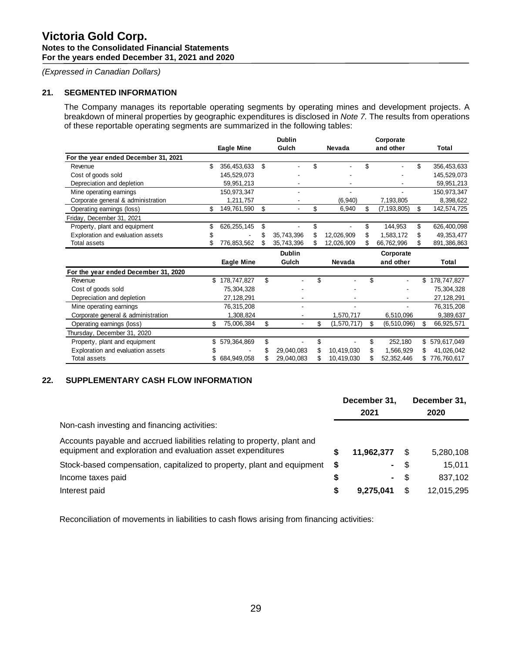*(Expressed in Canadian Dollars)*

### **21. SEGMENTED INFORMATION**

The Company manages its reportable operating segments by operating mines and development projects. A breakdown of mineral properties by geographic expenditures is disclosed in *Note 7.* The results from operations of these reportable operating segments are summarized in the following tables:

|                                      |     |                   |     | <b>Dublin</b> |    |             | Corporate           |                   |
|--------------------------------------|-----|-------------------|-----|---------------|----|-------------|---------------------|-------------------|
|                                      |     | <b>Eagle Mine</b> |     | Gulch         |    | Nevada      | and other           | Total             |
| For the year ended December 31, 2021 |     |                   |     |               |    |             |                     |                   |
| Revenue                              | \$. | 356,453,633       | \$  |               | \$ |             | \$                  | \$<br>356,453,633 |
| Cost of goods sold                   |     | 145,529,073       |     |               |    |             |                     | 145,529,073       |
| Depreciation and depletion           |     | 59,951,213        |     |               |    |             |                     | 59,951,213        |
| Mine operating earnings              |     | 150,973,347       |     |               |    |             |                     | 150,973,347       |
| Corporate general & administration   |     | 1,211,757         |     |               |    | (6,940)     | 7,193,805           | 8,398,622         |
| Operating earnings (loss)            | \$. | 149,761,590       | -\$ |               | \$ | 6,940       | \$<br>(7, 193, 805) | \$<br>142,574,725 |
| Friday, December 31, 2021            |     |                   |     |               |    |             |                     |                   |
| Property, plant and equipment        |     | 626, 255, 145     | \$  |               | \$ |             | \$<br>144,953       | \$<br>626,400,098 |
| Exploration and evaluation assets    |     |                   | \$  | 35,743,396    | \$ | 12,026,909  | 1,583,172           | 49, 353, 477      |
| Total assets                         |     | 776,853,562       |     | 35,743,396    | \$ | 12,026,909  | 66,762,996          | 891,386,863       |
|                                      |     |                   |     | <b>Dublin</b> |    |             | Corporate           |                   |
|                                      |     | Eagle Mine        |     | Gulch         |    | Nevada      | and other           | Total             |
| For the year ended December 31, 2020 |     |                   |     |               |    |             |                     |                   |
| Revenue                              | \$  | 178,747,827       | \$  |               | \$ |             | \$                  | \$<br>178,747,827 |
| Cost of goods sold                   |     | 75,304,328        |     |               |    |             |                     | 75,304,328        |
| Depreciation and depletion           |     | 27,128,291        |     |               |    |             |                     | 27,128,291        |
| Mine operating earnings              |     | 76,315,208        |     |               |    |             |                     | 76,315,208        |
| Corporate general & administration   |     | 1,308,824         |     |               |    | 1,570,717   | 6,510,096           | 9,389,637         |
| Operating earnings (loss)            | \$  | 75,006,384        | \$  |               | \$ | (1,570,717) | \$<br>(6, 510, 096) | \$<br>66,925,571  |
| Thursday, December 31, 2020          |     |                   |     |               |    |             |                     |                   |
| Property, plant and equipment        |     | 579,364,869       | \$  |               | \$ |             | \$<br>252,180       | \$<br>579,617,049 |
| Exploration and evaluation assets    |     |                   |     | 29.040.083    | S  | 10.419.030  | \$<br>1.566.929     | \$<br>41.026.042  |
| Total assets                         |     | 684,949,058       |     | 29,040,083    |    | 10,419,030  | 52,352,446          | 776,760,617       |

### **22. SUPPLEMENTARY CASH FLOW INFORMATION**

|                                                                                                                                         |    | December 31,<br>2021 |      | December 31,<br>2020 |
|-----------------------------------------------------------------------------------------------------------------------------------------|----|----------------------|------|----------------------|
| Non-cash investing and financing activities:                                                                                            |    |                      |      |                      |
| Accounts payable and accrued liabilities relating to property, plant and<br>equipment and exploration and evaluation asset expenditures | S  | 11,962,377           |      | 5,280,108            |
| Stock-based compensation, capitalized to property, plant and equipment                                                                  | S  | $\blacksquare$       | - \$ | 15,011               |
| Income taxes paid                                                                                                                       | S  | $\blacksquare$       | -S   | 837,102              |
| Interest paid                                                                                                                           | \$ | 9.275.041            | \$   | 12,015,295           |

Reconciliation of movements in liabilities to cash flows arising from financing activities: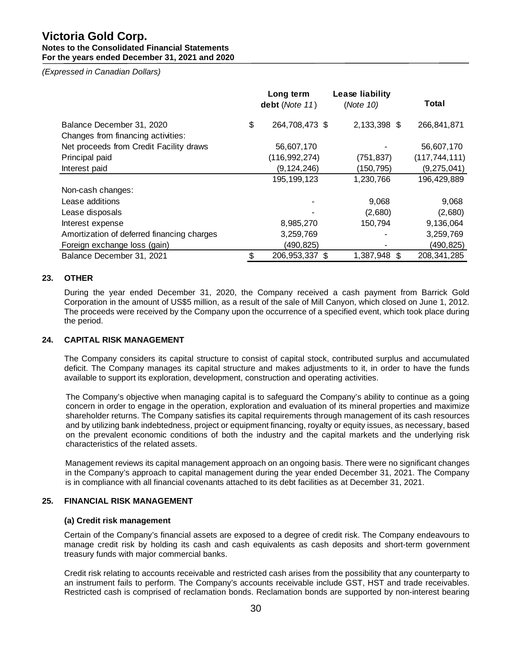*(Expressed in Canadian Dollars)*

|                                                                 | Long term<br>debt (Note 11) | Lease liability<br>(Note 10) |     | Total           |
|-----------------------------------------------------------------|-----------------------------|------------------------------|-----|-----------------|
| Balance December 31, 2020<br>Changes from financing activities: | \$<br>264,708,473 \$        | 2,133,398 \$                 |     | 266,841,871     |
| Net proceeds from Credit Facility draws                         | 56,607,170                  |                              |     | 56,607,170      |
| Principal paid                                                  | (116, 992, 274)             | (751, 837)                   |     | (117, 744, 111) |
| Interest paid                                                   | (9, 124, 246)               | (150, 795)                   |     | (9, 275, 041)   |
|                                                                 | 195, 199, 123               | 1,230,766                    |     | 196,429,889     |
| Non-cash changes:                                               |                             |                              |     |                 |
| Lease additions                                                 |                             | 9,068                        |     | 9,068           |
| Lease disposals                                                 |                             | (2,680)                      |     | (2,680)         |
| Interest expense                                                | 8,985,270                   | 150,794                      |     | 9,136,064       |
| Amortization of deferred financing charges                      | 3,259,769                   |                              |     | 3,259,769       |
| Foreign exchange loss (gain)                                    | (490,825)                   |                              |     | (490, 825)      |
| Balance December 31, 2021                                       | 206,953,337 \$              | 1,387,948                    | \$. | 208, 341, 285   |

### **23. OTHER**

During the year ended December 31, 2020, the Company received a cash payment from Barrick Gold Corporation in the amount of US\$5 million, as a result of the sale of Mill Canyon, which closed on June 1, 2012. The proceeds were received by the Company upon the occurrence of a specified event, which took place during the period.

### **24. CAPITAL RISK MANAGEMENT**

The Company considers its capital structure to consist of capital stock, contributed surplus and accumulated deficit. The Company manages its capital structure and makes adjustments to it, in order to have the funds available to support its exploration, development, construction and operating activities.

The Company's objective when managing capital is to safeguard the Company's ability to continue as a going concern in order to engage in the operation, exploration and evaluation of its mineral properties and maximize shareholder returns. The Company satisfies its capital requirements through management of its cash resources and by utilizing bank indebtedness, project or equipment financing, royalty or equity issues, as necessary, based on the prevalent economic conditions of both the industry and the capital markets and the underlying risk characteristics of the related assets.

Management reviews its capital management approach on an ongoing basis. There were no significant changes in the Company's approach to capital management during the year ended December 31, 2021. The Company is in compliance with all financial covenants attached to its debt facilities as at December 31, 2021.

### **25. FINANCIAL RISK MANAGEMENT**

### **(a) Credit risk management**

Certain of the Company's financial assets are exposed to a degree of credit risk. The Company endeavours to manage credit risk by holding its cash and cash equivalents as cash deposits and short-term government treasury funds with major commercial banks.

Credit risk relating to accounts receivable and restricted cash arises from the possibility that any counterparty to an instrument fails to perform. The Company's accounts receivable include GST, HST and trade receivables. Restricted cash is comprised of reclamation bonds. Reclamation bonds are supported by non-interest bearing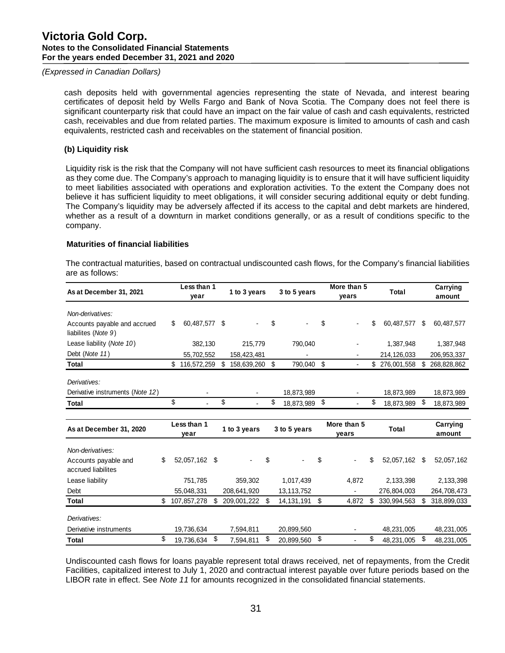#### *(Expressed in Canadian Dollars)*

cash deposits held with governmental agencies representing the state of Nevada, and interest bearing certificates of deposit held by Wells Fargo and Bank of Nova Scotia. The Company does not feel there is significant counterparty risk that could have an impact on the fair value of cash and cash equivalents, restricted cash, receivables and due from related parties. The maximum exposure is limited to amounts of cash and cash equivalents, restricted cash and receivables on the statement of financial position.

### **(b) Liquidity risk**

*Derivatives:*

Liquidity risk is the risk that the Company will not have sufficient cash resources to meet its financial obligations as they come due. The Company's approach to managing liquidity is to ensure that it will have sufficient liquidity to meet liabilities associated with operations and exploration activities. To the extent the Company does not believe it has sufficient liquidity to meet obligations, it will consider securing additional equity or debt funding. The Company's liquidity may be adversely affected if its access to the capital and debt markets are hindered, whether as a result of a downturn in market conditions generally, or as a result of conditions specific to the company.

### **Maturities of financial liabilities**

The contractual maturities, based on contractual undiscounted cash flows, for the Company's financial liabilities are as follows:

| As at December 31, 2021                             | Less than 1<br>vear |     |     | 1 to 3 years |    | 3 to 5 years     | More than 5<br>years |    | Total         |     | Carrying<br>amount |
|-----------------------------------------------------|---------------------|-----|-----|--------------|----|------------------|----------------------|----|---------------|-----|--------------------|
| Non-derivatives:                                    |                     |     |     |              |    |                  |                      |    |               |     |                    |
| Accounts payable and accrued<br>liabilites (Note 9) | 60,487,577<br>S     |     | S   |              |    | \$               | \$                   | \$ | 60,487,577    | S   | 60,487,577         |
| Lease liability (Note 10)                           | 382,130             |     |     | 215,779      |    | 790,040          |                      |    | 1,387,948     |     | 1,387,948          |
| Debt (Note 11)                                      | 55,702,552          |     |     | 158,423,481  |    |                  |                      |    | 214, 126, 033 |     | 206,953,337        |
| Total                                               | 116,572,259<br>\$   |     | \$. | 158,639,260  |    | \$<br>790,040    | \$                   |    | 276,001,558   | \$. | 268,828,862        |
| Derivatives:                                        |                     |     |     |              |    |                  |                      |    |               |     |                    |
| Derivative instruments (Note 12)                    |                     |     |     |              |    | 18,873,989       |                      |    | 18,873,989    |     | 18,873,989         |
| Total                                               | \$                  |     | \$  |              |    | \$<br>18,873,989 | \$                   |    | 18,873,989    | \$  | 18,873,989         |
|                                                     |                     |     |     |              |    |                  |                      |    |               |     |                    |
| As at December 31, 2020                             | Less than 1<br>year |     |     | 1 to 3 years |    | 3 to 5 years     | More than 5<br>vears |    | Total         |     | Carrying<br>amount |
| Non-derivatives:                                    |                     |     |     |              |    |                  |                      |    |               |     |                    |
| Accounts payable and<br>accrued liabilites          | \$<br>52,057,162 \$ |     |     |              | \$ |                  | \$                   | \$ | 52,057,162    | \$  | 52,057,162         |
| Lease liability                                     | 751,785             |     |     | 359,302      |    | 1,017,439        | 4,872                |    | 2,133,398     |     | 2,133,398          |
| Debt                                                | 55,048,331          |     |     | 208,641,920  |    | 13,113,752       |                      |    | 276,804,003   |     | 264,708,473        |
| Total                                               | \$<br>107,857,278   | -SS |     | 209,001,222  | S  | 14,131,191       | \$<br>4,872          | S  | 330,994,563   | S.  | 318,899,033        |

Undiscounted cash flows for loans payable represent total draws received, net of repayments, from the Credit Derivative instruments 19,736,634 7,594,811 20,899,560 - 48,231,005 48,231,005 **Total** \$ 19,736,634 \$ 7,594,811 \$ 20,899,560 \$ - \$ 48,231,005 \$ 48,231,005

Facilities, capitalized interest to July 1, 2020 and contractual interest payable over future periods based on the LIBOR rate in effect. See *Note 11* for amounts recognized in the consolidated financial statements.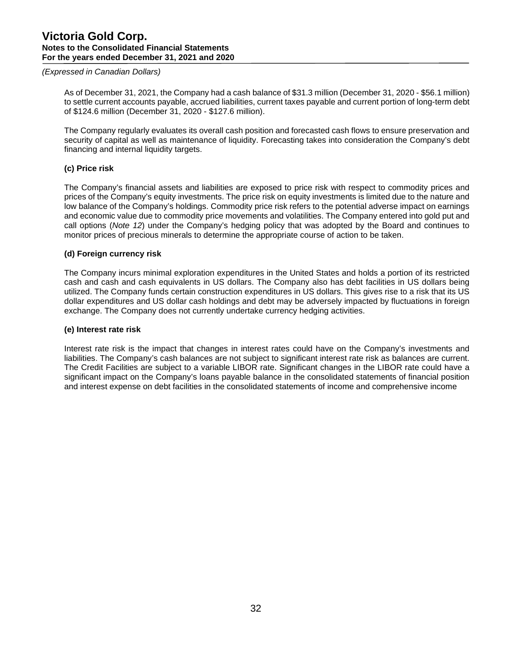#### *(Expressed in Canadian Dollars)*

As of December 31, 2021, the Company had a cash balance of \$31.3 million (December 31, 2020 - \$56.1 million) to settle current accounts payable, accrued liabilities, current taxes payable and current portion of long-term debt of \$124.6 million (December 31, 2020 - \$127.6 million).

The Company regularly evaluates its overall cash position and forecasted cash flows to ensure preservation and security of capital as well as maintenance of liquidity. Forecasting takes into consideration the Company's debt financing and internal liquidity targets.

### **(c) Price risk**

The Company's financial assets and liabilities are exposed to price risk with respect to commodity prices and prices of the Company's equity investments. The price risk on equity investments is limited due to the nature and low balance of the Company's holdings. Commodity price risk refers to the potential adverse impact on earnings and economic value due to commodity price movements and volatilities. The Company entered into gold put and call options (*Note 12*) under the Company's hedging policy that was adopted by the Board and continues to monitor prices of precious minerals to determine the appropriate course of action to be taken.

### **(d) Foreign currency risk**

The Company incurs minimal exploration expenditures in the United States and holds a portion of its restricted cash and cash and cash equivalents in US dollars. The Company also has debt facilities in US dollars being utilized. The Company funds certain construction expenditures in US dollars. This gives rise to a risk that its US dollar expenditures and US dollar cash holdings and debt may be adversely impacted by fluctuations in foreign exchange. The Company does not currently undertake currency hedging activities.

#### **(e) Interest rate risk**

Interest rate risk is the impact that changes in interest rates could have on the Company's investments and liabilities. The Company's cash balances are not subject to significant interest rate risk as balances are current. The Credit Facilities are subject to a variable LIBOR rate. Significant changes in the LIBOR rate could have a significant impact on the Company's loans payable balance in the consolidated statements of financial position and interest expense on debt facilities in the consolidated statements of income and comprehensive income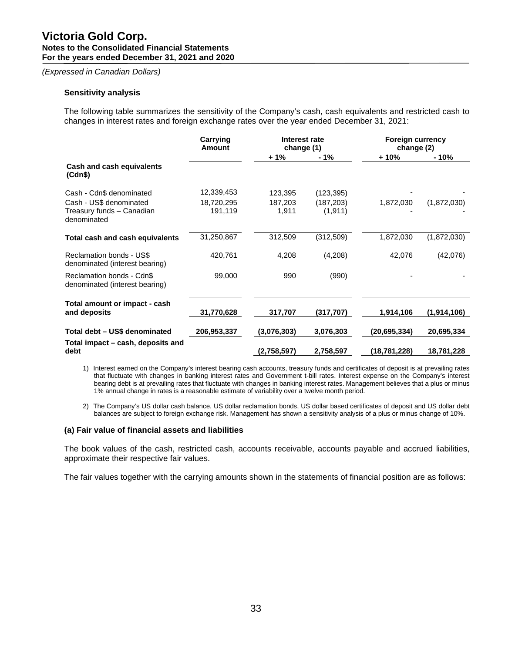#### *(Expressed in Canadian Dollars)*

### **Sensitivity analysis**

The following table summarizes the sensitivity of the Company's cash, cash equivalents and restricted cash to changes in interest rates and foreign exchange rates over the year ended December 31, 2021:

|                                                             | Carrying<br>Amount | Interest rate<br>change (1) |            | <b>Foreign currency</b><br>change (2) |             |
|-------------------------------------------------------------|--------------------|-----------------------------|------------|---------------------------------------|-------------|
|                                                             |                    | $+1%$                       | - 1%       | $+10%$                                | $-10%$      |
| Cash and cash equivalents<br>(Cdn\$)                        |                    |                             |            |                                       |             |
| Cash - Cdn\$ denominated                                    | 12,339,453         | 123,395                     | (123, 395) |                                       |             |
| Cash - US\$ denominated                                     | 18,720,295         | 187,203                     | (187, 203) | 1,872,030                             | (1,872,030) |
| Treasury funds - Canadian<br>denominated                    | 191,119            | 1,911                       | (1, 911)   |                                       |             |
| Total cash and cash equivalents                             | 31,250,867         | 312,509                     | (312, 509) | 1,872,030                             | (1,872,030) |
| Reclamation bonds - US\$<br>denominated (interest bearing)  | 420,761            | 4,208                       | (4,208)    | 42,076                                | (42,076)    |
| Reclamation bonds - Cdn\$<br>denominated (interest bearing) | 99,000             | 990                         | (990)      |                                       |             |
| Total amount or impact - cash<br>and deposits               | 31,770,628         | 317,707                     | (317, 707) | 1,914,106                             | (1,914,106) |
|                                                             |                    |                             |            |                                       |             |
| Total debt - US\$ denominated                               | 206,953,337        | (3,076,303)                 | 3,076,303  | (20,695,334)                          | 20,695,334  |
| Total impact - cash, deposits and<br>debt                   |                    | (2,758,597)                 | 2,758,597  | (18,781,228)                          | 18,781,228  |

1) Interest earned on the Company's interest bearing cash accounts, treasury funds and certificates of deposit is at prevailing rates that fluctuate with changes in banking interest rates and Government t-bill rates. Interest expense on the Company's interest bearing debt is at prevailing rates that fluctuate with changes in banking interest rates. Management believes that a plus or minus 1% annual change in rates is a reasonable estimate of variability over a twelve month period.

2) The Company's US dollar cash balance, US dollar reclamation bonds, US dollar based certificates of deposit and US dollar debt balances are subject to foreign exchange risk. Management has shown a sensitivity analysis of a plus or minus change of 10%.

### **(a) Fair value of financial assets and liabilities**

The book values of the cash, restricted cash, accounts receivable, accounts payable and accrued liabilities, approximate their respective fair values.

The fair values together with the carrying amounts shown in the statements of financial position are as follows: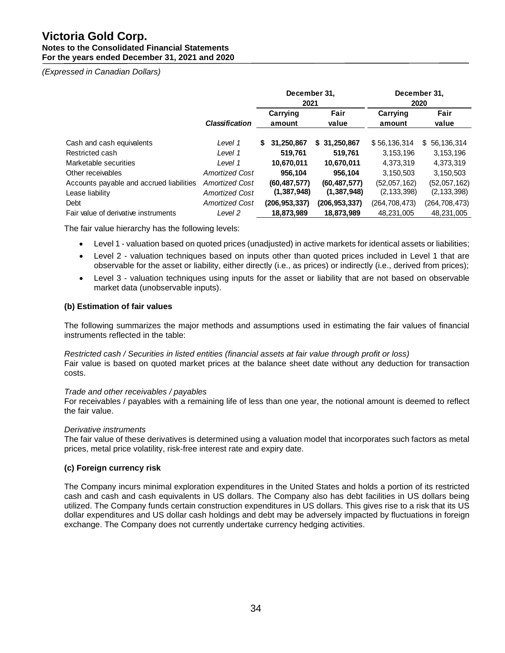*(Expressed in Canadian Dollars)*

|                                          |                       |    | December 31,<br>2021 |                 | 2020               | December 31,  |
|------------------------------------------|-----------------------|----|----------------------|-----------------|--------------------|---------------|
|                                          | <b>Classification</b> |    | Carrying<br>amount   | Fair<br>value   | Carrying<br>amount | Fair<br>value |
| Cash and cash equivalents                | Level 1               | S. | 31,250,867           | \$31,250,867    | \$56,136,314       | \$56,136,314  |
| Restricted cash                          | Level 1               |    | 519.761              | 519.761         | 3, 153, 196        | 3,153,196     |
| Marketable securities                    | Level 1               |    | 10.670.011           | 10.670.011      | 4.373.319          | 4,373,319     |
| Other receivables                        | <b>Amortized Cost</b> |    | 956.104              | 956,104         | 3,150,503          | 3,150,503     |
| Accounts payable and accrued liabilities | <b>Amortized Cost</b> |    | (60, 487, 577)       | (60, 487, 577)  | (52,057,162)       | (52,057,162)  |
| Lease liability                          | <b>Amortized Cost</b> |    | (1, 387, 948)        | (1, 387, 948)   | (2, 133, 398)      | (2, 133, 398) |
| Debt                                     | <b>Amortized Cost</b> |    | (206, 953, 337)      | (206, 953, 337) | (264,708,473)      | (264,708,473) |
| Fair value of derivative instruments     | Level 2               |    | 18,873,989           | 18.873.989      | 48.231.005         | 48.231.005    |

The fair value hierarchy has the following levels:

- Level 1 valuation based on quoted prices (unadjusted) in active markets for identical assets or liabilities;
- Level 2 valuation techniques based on inputs other than quoted prices included in Level 1 that are observable for the asset or liability, either directly (i.e., as prices) or indirectly (i.e., derived from prices);
- Level 3 valuation techniques using inputs for the asset or liability that are not based on observable market data (unobservable inputs).

#### **(b) Estimation of fair values**

The following summarizes the major methods and assumptions used in estimating the fair values of financial instruments reflected in the table:

*Restricted cash / Securities in listed entities (financial assets at fair value through profit or loss)* Fair value is based on quoted market prices at the balance sheet date without any deduction for transaction costs.

#### *Trade and other receivables / payables*

For receivables / payables with a remaining life of less than one year, the notional amount is deemed to reflect the fair value.

#### *Derivative instruments*

The fair value of these derivatives is determined using a valuation model that incorporates such factors as metal prices, metal price volatility, risk-free interest rate and expiry date.

#### **(c) Foreign currency risk**

The Company incurs minimal exploration expenditures in the United States and holds a portion of its restricted cash and cash and cash equivalents in US dollars. The Company also has debt facilities in US dollars being utilized. The Company funds certain construction expenditures in US dollars. This gives rise to a risk that its US dollar expenditures and US dollar cash holdings and debt may be adversely impacted by fluctuations in foreign exchange. The Company does not currently undertake currency hedging activities.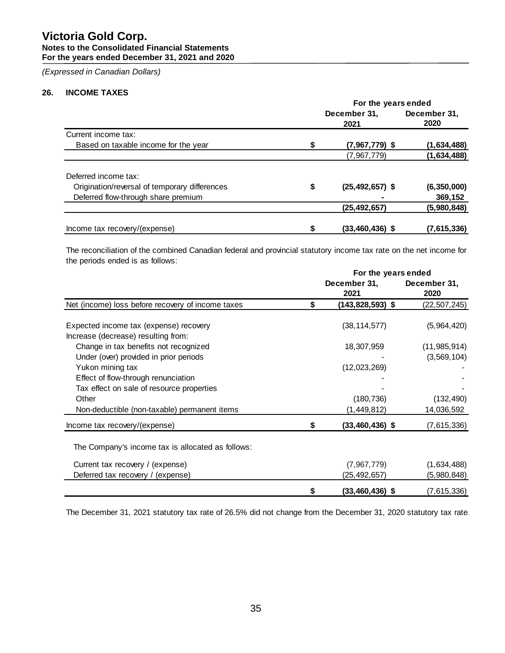*(Expressed in Canadian Dollars)*

### **26. INCOME TAXES**

|                                               |    | For the years ended          |             |
|-----------------------------------------------|----|------------------------------|-------------|
|                                               |    | December 31,<br>December 31, |             |
|                                               |    | 2021                         | 2020        |
| Current income tax:                           |    |                              |             |
| Based on taxable income for the year          | S  | $(7,967,779)$ \$             | (1,634,488) |
|                                               |    | (7,967,779)                  | (1,634,488) |
| Deferred income tax:                          |    |                              |             |
| Origination/reversal of temporary differences | \$ | $(25, 492, 657)$ \$          | (6,350,000) |
| Deferred flow-through share premium           |    |                              | 369,152     |
|                                               |    | (25, 492, 657)               | (5,980,848) |
| Income tax recovery/(expense)                 | S  | $(33, 460, 436)$ \$          | (7,615,336) |

The reconciliation of the combined Canadian federal and provincial statutory income tax rate on the net income for the periods ended is as follows:

|                                                                                 | For the years ended        |                               |
|---------------------------------------------------------------------------------|----------------------------|-------------------------------|
|                                                                                 | December 31,<br>2021       | December 31,<br>2020          |
| Net (income) loss before recovery of income taxes                               | \$<br>$(143, 828, 593)$ \$ | (22, 507, 245)                |
| Expected income tax (expense) recovery                                          | (38, 114, 577)             | (5,964,420)                   |
| Increase (decrease) resulting from:                                             |                            |                               |
| Change in tax benefits not recognized<br>Under (over) provided in prior periods | 18,307,959                 | (11, 985, 914)<br>(3,569,104) |
| Yukon mining tax                                                                | (12,023,269)               |                               |
| Effect of flow-through renunciation                                             |                            |                               |
| Tax effect on sale of resource properties                                       |                            |                               |
| Other                                                                           | (180, 736)                 | (132, 490)                    |
| Non-deductible (non-taxable) permanent items                                    | (1,449,812)                | 14,036,592                    |
| Income tax recovery/(expense)                                                   | \$<br>$(33,460,436)$ \$    | (7,615,336)                   |
| The Company's income tax is allocated as follows:                               |                            |                               |
| Current tax recovery / (expense)                                                | (7,967,779)                | (1,634,488)                   |
| Deferred tax recovery / (expense)                                               | (25,492,657)               | (5,980,848)                   |
|                                                                                 | \$<br>$(33, 460, 436)$ \$  | (7,615,336)                   |

The December 31, 2021 statutory tax rate of 26.5% did not change from the December 31, 2020 statutory tax rate.